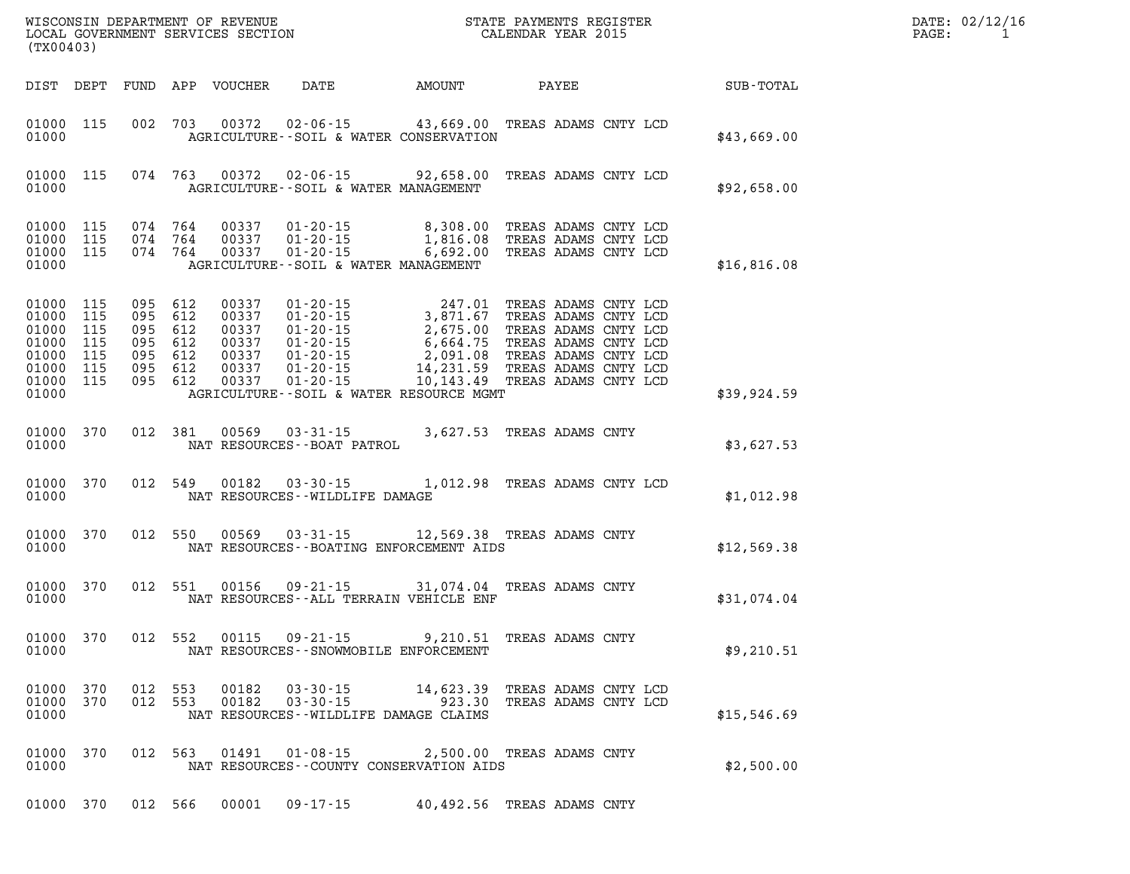| DATE: | 02/12/16 |
|-------|----------|
| PAGE: |          |

| (TX00403)                                                                        |                          |                                                                |         |                                | %WISCONSIN DEPARTMENT OF REVENUE $$\tt STATE~PAYMEMTS~REGISTER~LOCAL~GOVERNMENT~SERVICES~SECTION~CALENDAR~YEAR~2015$                              |                            |                                              |             | DATE: 02/12/1<br>PAGE:<br>$\overline{1}$ |
|----------------------------------------------------------------------------------|--------------------------|----------------------------------------------------------------|---------|--------------------------------|---------------------------------------------------------------------------------------------------------------------------------------------------|----------------------------|----------------------------------------------|-------------|------------------------------------------|
| DIST DEPT                                                                        |                          |                                                                |         | FUND APP VOUCHER               |                                                                                                                                                   | DATE AMOUNT PAYEE          |                                              | SUB-TOTAL   |                                          |
| 01000 115<br>01000                                                               |                          |                                                                |         |                                | 002 703 00372 02-06-15 43,669.00 TREAS ADAMS CNTY LCD<br>AGRICULTURE -- SOIL & WATER CONSERVATION                                                 |                            |                                              | \$43,669.00 |                                          |
| 01000 115<br>01000                                                               |                          |                                                                |         |                                | 074 763 00372 02-06-15 92,658.00 TREAS ADAMS CNTY LCD<br>AGRICULTURE--SOIL & WATER MANAGEMENT                                                     |                            |                                              | \$92,658.00 |                                          |
| 01000 115<br>01000 115<br>01000 115<br>01000                                     |                          |                                                                | 074 764 | 074 764 00337<br>074 764 00337 | $01 - 20 - 15$ 8,308.00<br>$0.0337$ $0.1 - 20 - 15$ $1,816.08$<br>01-20-15 6,692.00 TREAS ADAMS CNTY LCD<br>AGRICULTURE--SOIL & WATER MANAGEMENT  |                            | TREAS ADAMS CNTY LCD<br>TREAS ADAMS CNTY LCD | \$16,816.08 |                                          |
| 01000 115<br>01000<br>01000<br>01000<br>01000<br>01000 115<br>01000 115<br>01000 | 115<br>115<br>115<br>115 | 095 612<br>095 612<br>095 612<br>095 612<br>095 612<br>095 612 | 095 612 | 00337<br>00337<br>00337        | $01 - 20 - 15$<br>AGRICULTURE--SOIL & WATER RESOURCE MGMT                                                                                         |                            | 10,143.49 TREAS ADAMS CNTY LCD               | \$39,924.59 |                                          |
| 01000 370<br>01000                                                               |                          |                                                                | 012 381 |                                | 00569 03-31-15<br>NAT RESOURCES - - BOAT PATROL                                                                                                   |                            | 3,627.53 TREAS ADAMS CNTY                    | \$3,627.53  |                                          |
| 01000 370<br>01000                                                               |                          |                                                                | 012 549 |                                | $00182$ $03-30-15$<br>NAT RESOURCES - - WILDLIFE DAMAGE                                                                                           |                            | 1,012.98 TREAS ADAMS CNTY LCD                | \$1,012.98  |                                          |
| 01000 370<br>01000                                                               |                          |                                                                |         | 012 550 00569                  | $03 - 31 - 15$<br>NAT RESOURCES - - BOATING ENFORCEMENT AIDS                                                                                      | 12,569.38 TREAS ADAMS CNTY |                                              | \$12,569.38 |                                          |
| 01000 370<br>01000                                                               |                          |                                                                | 012 551 | 00156                          | 09 - 21 - 15<br>NAT RESOURCES--ALL TERRAIN VEHICLE ENF                                                                                            |                            | 31,074.04 TREAS ADAMS CNTY                   | \$31,074.04 |                                          |
| 01000 370<br>01000                                                               |                          |                                                                | 012 552 | 00115                          | $09 - 21 - 15$<br>NAT RESOURCES--SNOWMOBILE ENFORCEMENT                                                                                           |                            | 9,210.51 TREAS ADAMS CNTY                    | \$9,210.51  |                                          |
| 01000 370<br>01000                                                               | 01000 370                |                                                                |         |                                | 012 553 00182 03-30-15 14,623.39 TREAS ADAMS CNTY LCD 012 553 00182 03-30-15 923.30 TREAS ADAMS CNTY LCD<br>NAT RESOURCES--WILDLIFE DAMAGE CLAIMS |                            |                                              | \$15,546.69 |                                          |
| 01000 370<br>01000                                                               |                          |                                                                |         |                                | 012 563 01491 01-08-15<br>NAT RESOURCES - COUNTY CONSERVATION AIDS                                                                                |                            | 2,500.00 TREAS ADAMS CNTY                    | \$2,500.00  |                                          |

**01000 370 012 566 00001 09-17-15 40,492.56 TREAS ADAMS CNTY**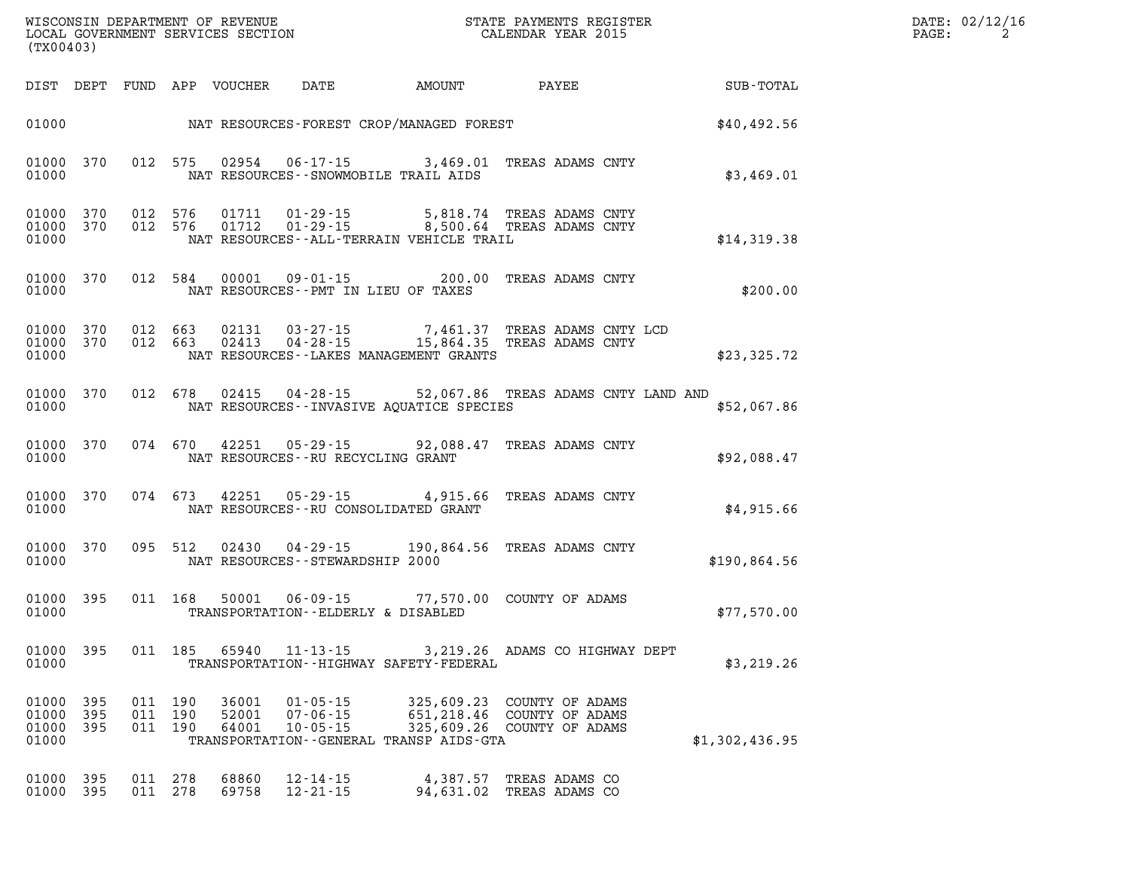| (TX00403) |                                     |         |                               |                         | WISCONSIN DEPARTMENT OF REVENUE<br>LOCAL GOVERNMENT SERVICES SECTION<br>(TX00403) |                                                | STATE PAYMENTS REGISTER<br>CALENDAR YEAR 2015                                                          | DATE: 02/12/16<br>PAGE:<br>$\overline{2}$ |  |
|-----------|-------------------------------------|---------|-------------------------------|-------------------------|-----------------------------------------------------------------------------------|------------------------------------------------|--------------------------------------------------------------------------------------------------------|-------------------------------------------|--|
|           |                                     |         |                               |                         |                                                                                   |                                                |                                                                                                        |                                           |  |
|           |                                     |         |                               |                         |                                                                                   | 01000 NAT RESOURCES-FOREST CROP/MANAGED FOREST |                                                                                                        | \$40,492.56                               |  |
| 01000     | 01000 370                           |         | 012 575                       | 02954                   |                                                                                   | NAT RESOURCES -- SNOWMOBILE TRAIL AIDS         | 06-17-15 3,469.01 TREAS ADAMS CNTY                                                                     | \$3,469.01                                |  |
| 01000     | 01000 370<br>01000 370              |         | 012 576<br>012 576            |                         |                                                                                   | NAT RESOURCES--ALL-TERRAIN VEHICLE TRAIL       | 01711  01-29-15  5,818.74  TREAS ADAMS CNTY<br>01712  01-29-15  8,500.64  TREAS ADAMS CNTY             | \$14,319.38                               |  |
| 01000     | 01000 370                           |         | 012 584                       |                         |                                                                                   | NAT RESOURCES -- PMT IN LIEU OF TAXES          | 00001  09-01-15  200.00  TREAS ADAMS CNTY                                                              | \$200.00                                  |  |
| 01000     | 01000 370<br>01000 370              | 012 663 |                               |                         |                                                                                   | NAT RESOURCES - - LAKES MANAGEMENT GRANTS      | 012 663 02131 03-27-15 7,461.37 TREAS ADAMS CNTY LCD 012 663 02413 04-28-15 15,864.35 TREAS ADAMS CNTY | \$23,325.72                               |  |
|           | 01000 370<br>01000                  |         |                               |                         |                                                                                   |                                                | 012 678 02415 04-28-15 52,067.86 TREAS ADAMS CNTY LAND AND<br>NAT RESOURCES--INVASIVE AOUATICE SPECIES | \$52,067.86                               |  |
|           | 01000 370<br>01000                  |         | 074 670                       |                         | NAT RESOURCES--RU RECYCLING GRANT                                                 |                                                | 42251  05-29-15  92,088.47  TREAS ADAMS CNTY                                                           | \$92,088.47                               |  |
|           | 01000 370<br>01000                  |         | 074 673                       |                         |                                                                                   | NAT RESOURCES--RU CONSOLIDATED GRANT           | 42251  05-29-15  4,915.66  TREAS ADAMS CNTY                                                            | \$4,915.66                                |  |
|           | 01000 370<br>01000                  |         | 095 512                       |                         | NAT RESOURCES -- STEWARDSHIP 2000                                                 |                                                | 02430  04-29-15  190,864.56  TREAS ADAMS CNTY                                                          | \$190,864.56                              |  |
|           | 01000 395<br>01000                  |         | 011 168                       |                         | TRANSPORTATION--ELDERLY & DISABLED                                                |                                                | 50001  06-09-15  77,570.00  COUNTY OF ADAMS                                                            | \$77,570.00                               |  |
| 01000     |                                     |         |                               |                         |                                                                                   | TRANSPORTATION - - HIGHWAY SAFETY - FEDERAL    | 01000 395 011 185 65940 11-13-15 3,219.26 ADAMS CO HIGHWAY DEPT                                        | \$3,219.26                                |  |
| 01000     | 01000 395<br>01000 395<br>01000 395 |         | 011 190<br>011 190<br>011 190 | 36001<br>52001<br>64001 | $01 - 05 - 15$<br>$07 - 06 - 15$<br>$10 - 05 - 15$                                | TRANSPORTATION--GENERAL TRANSP AIDS-GTA        | 325,609.23 COUNTY OF ADAMS<br>651, 218.46 COUNTY OF ADAMS<br>325,609.26 COUNTY OF ADAMS                | \$1,302,436.95                            |  |
| 01000     | 395<br>01000 395                    |         | 011 278<br>011 278            | 68860<br>69758          | $12 - 14 - 15$<br>$12 - 21 - 15$                                                  | 4,387.57                                       | TREAS ADAMS CO<br>94,631.02 TREAS ADAMS CO                                                             |                                           |  |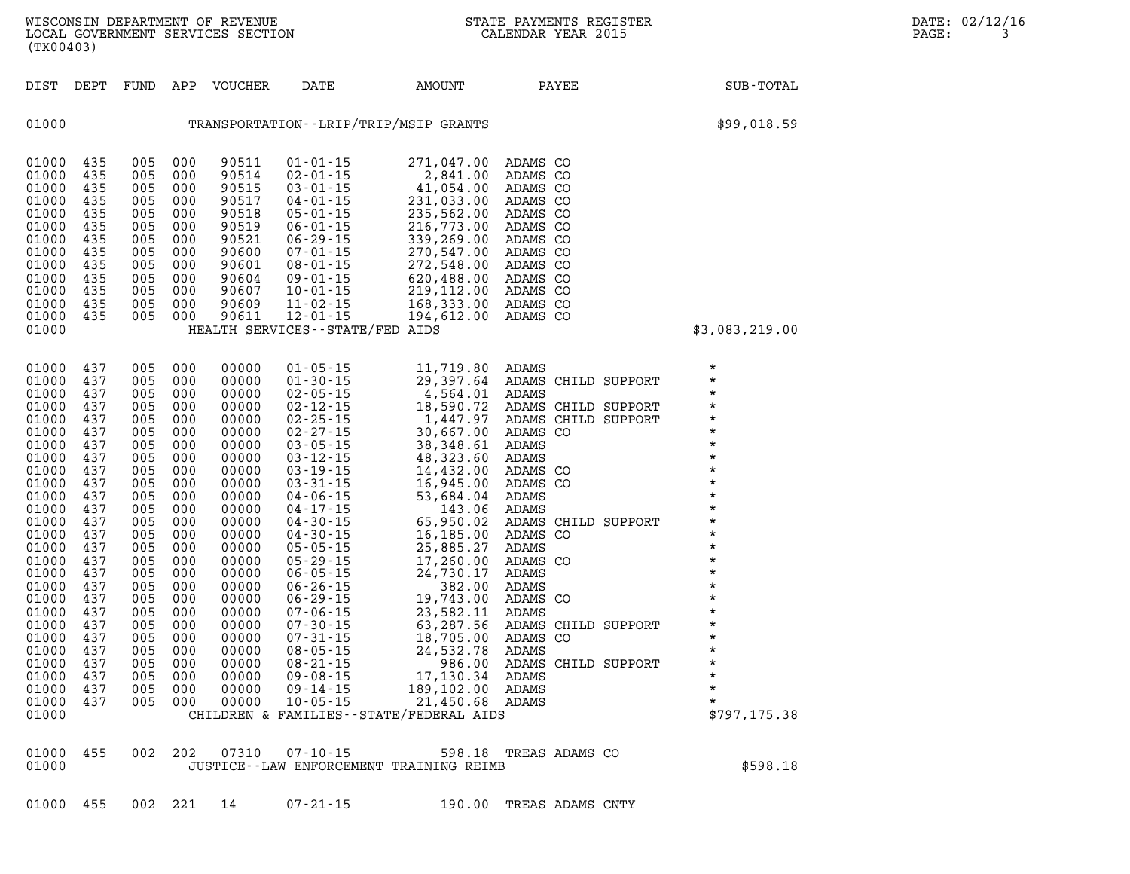| 01000 455 002 221 14 |  |  |  |  | 07-21-15 |  | 190.00 TREAS ADAMS CNTY |  |
|----------------------|--|--|--|--|----------|--|-------------------------|--|
|----------------------|--|--|--|--|----------|--|-------------------------|--|

| 01000<br>01000 | 435<br>435 | 005<br>005 | 000<br>000 | 90519<br>90521 | $06 - 01 - 15$<br>$06 - 29 - 15$   | 216,773.00<br>339,269.00                            | ADAMS CO<br>ADAMS CO |                |                     |                    |  |
|----------------|------------|------------|------------|----------------|------------------------------------|-----------------------------------------------------|----------------------|----------------|---------------------|--------------------|--|
| 01000          | 435        | 005        | 000        | 90600          | $07 - 01 - 15$                     | 270,547.00                                          | ADAMS CO             |                |                     |                    |  |
| 01000          | 435        | 005        | 000        | 90601          | $08 - 01 - 15$                     | 272,548.00                                          | ADAMS CO             |                |                     |                    |  |
| 01000          | 435        | 005        | 000        | 90604          | $09 - 01 - 15$                     | 620,488.00                                          | ADAMS CO             |                |                     |                    |  |
| 01000          | 435        | 005        | 000        | 90607          | $10 - 01 - 15$                     | 219,112.00                                          | ADAMS CO             |                |                     |                    |  |
| 01000          | 435        | 005        | 000        | 90609          | $11 - 02 - 15$                     | 168,333.00                                          | ADAMS CO             |                |                     |                    |  |
| 01000          | 435        | 005        | 000        | 90611          | $12 - 01 - 15$                     | 194,612.00                                          | ADAMS CO             |                |                     |                    |  |
| 01000          |            |            |            |                | HEALTH SERVICES - - STATE/FED AIDS |                                                     |                      |                |                     | \$3,083,219.00     |  |
|                |            |            |            |                |                                    |                                                     |                      |                |                     |                    |  |
| 01000          | 437        | 005        | 000        | 00000          | $01 - 05 - 15$                     | 11,719.80                                           | ADAMS                |                |                     | $\star$            |  |
| 01000          | 437        | 005        | 000        | 00000          | $01 - 30 - 15$                     | 29,397.64                                           |                      |                | ADAMS CHILD SUPPORT | $\star$            |  |
| 01000          | 437        | 005        | 000        | 00000          | $02 - 05 - 15$                     | 4,564.01                                            | ADAMS                |                |                     | $\star$            |  |
| 01000          | 437        | 005        | 000        | 00000          | $02 - 12 - 15$                     | 18,590.72                                           |                      |                | ADAMS CHILD SUPPORT | $\star$            |  |
| 01000          | 437        | 005        | 000        | 00000          | $02 - 25 - 15$                     | 1,447.97                                            |                      |                | ADAMS CHILD SUPPORT | $\star$            |  |
| 01000          | 437        | 005        | 000        | 00000          | $02 - 27 - 15$                     | 30,667.00                                           | ADAMS CO             |                |                     | $\star$            |  |
| 01000          | 437        | 005        | 000        | 00000          | $03 - 05 - 15$                     | 38,348.61                                           | ADAMS                |                |                     | $\star$            |  |
| 01000          | 437        | 005        | 000        | 00000          | $03 - 12 - 15$                     | 48,323.60                                           | ADAMS                |                |                     | $\star$            |  |
| 01000          | 437        | 005        | 000        | 00000          | $03 - 19 - 15$                     | 14,432.00                                           | ADAMS CO             |                |                     | $\star$            |  |
| 01000          | 437        | 005        | 000        | 00000          | $03 - 31 - 15$                     | 16,945.00                                           | ADAMS CO             |                |                     | $\star$            |  |
| 01000          | 437        | 005        | 000        | 00000          | $04 - 06 - 15$                     | 53,684.04                                           | ADAMS                |                |                     | $\star$            |  |
| 01000          | 437        | 005        | 000        | 00000          | $04 - 17 - 15$                     | 143.06                                              | ADAMS                |                |                     | $\star$            |  |
| 01000          | 437        | 005        | 000        | 00000          | $04 - 30 - 15$                     | 65,950.02                                           |                      |                | ADAMS CHILD SUPPORT | $\star$            |  |
| 01000          | 437        | 005        | 000        | 00000          | $04 - 30 - 15$                     | 16,185.00                                           | ADAMS CO             |                |                     | $\star$<br>$\star$ |  |
| 01000          | 437        | 005        | 000        | 00000          | $05 - 05 - 15$                     | 25,885.27                                           | ADAMS                |                |                     | $\star$            |  |
| 01000          | 437        | 005        | 000        | 00000          | $05 - 29 - 15$                     | 17,260.00                                           | ADAMS CO             |                |                     | $\star$            |  |
| 01000          | 437        | 005        | 000        | 00000          | $06 - 05 - 15$                     | 24,730.17                                           | ADAMS                |                |                     | $\star$            |  |
| 01000          | 437        | 005        | 000        | 00000          | $06 - 26 - 15$                     | 382.00                                              | ADAMS                |                |                     | $\star$            |  |
| 01000<br>01000 | 437<br>437 | 005<br>005 | 000<br>000 | 00000<br>00000 | $06 - 29 - 15$<br>$07 - 06 - 15$   | 19,743.00<br>23,582.11                              | ADAMS CO<br>ADAMS    |                |                     | $\star$            |  |
| 01000          | 437        | 005        | 000        | 00000          | $07 - 30 - 15$                     | 63,287.56                                           |                      |                | ADAMS CHILD SUPPORT | $\star$            |  |
| 01000          | 437        | 005        | 000        | 00000          | $07 - 31 - 15$                     | 18,705.00                                           | ADAMS CO             |                |                     | $\star$            |  |
| 01000          | 437        | 005        | 000        | 00000          | $08 - 05 - 15$                     | 24,532.78                                           | ADAMS                |                |                     | $\star$            |  |
| 01000          | 437        | 005        | 000        | 00000          | $08 - 21 - 15$                     | 986.00                                              |                      |                | ADAMS CHILD SUPPORT | $\star$            |  |
| 01000          | 437        | 005        | 000        | 00000          | $09 - 08 - 15$                     | 17,130.34                                           | ADAMS                |                |                     | $\star$            |  |
| 01000          | 437        | 005        | 000        | 00000          | $09 - 14 - 15$                     | 189,102.00                                          | ADAMS                |                |                     | $\star$            |  |
| 01000          | 437        | 005        | 000        | 00000          | $10 - 05 - 15$                     | 21,450.68                                           | ADAMS                |                |                     | $\star$            |  |
| 01000          |            |            |            |                |                                    | CHILDREN & FAMILIES - - STATE/FEDERAL AIDS          |                      |                |                     | \$797, 175.38      |  |
|                |            |            |            |                |                                    |                                                     |                      |                |                     |                    |  |
|                |            |            |            |                |                                    |                                                     |                      |                |                     |                    |  |
| 01000<br>01000 | 455        | 002        | 202        | 07310          | $07 - 10 - 15$                     | 598.18<br>JUSTICE -- LAW ENFORCEMENT TRAINING REIMB |                      | TREAS ADAMS CO |                     | \$598.18           |  |
|                |            |            |            |                |                                    |                                                     |                      |                |                     |                    |  |

| 01000 | TRANSPORTATION - - LRIP/TRIP/MSIP GRANTS | \$99,018.59 |
|-------|------------------------------------------|-------------|

**01000 435 005 000 90511 01-01-15 271,047.00 ADAMS CO 01000 435 005 000 90514 02-01-15 2,841.00 ADAMS CO 01000 435 005 000 90515 03-01-15 41,054.00 ADAMS CO 01000 435 005 000 90517 04-01-15 231,033.00 ADAMS CO 01000 435 005 000 90518 05-01-15 235,562.00 ADAMS CO** 

**(TX00403)**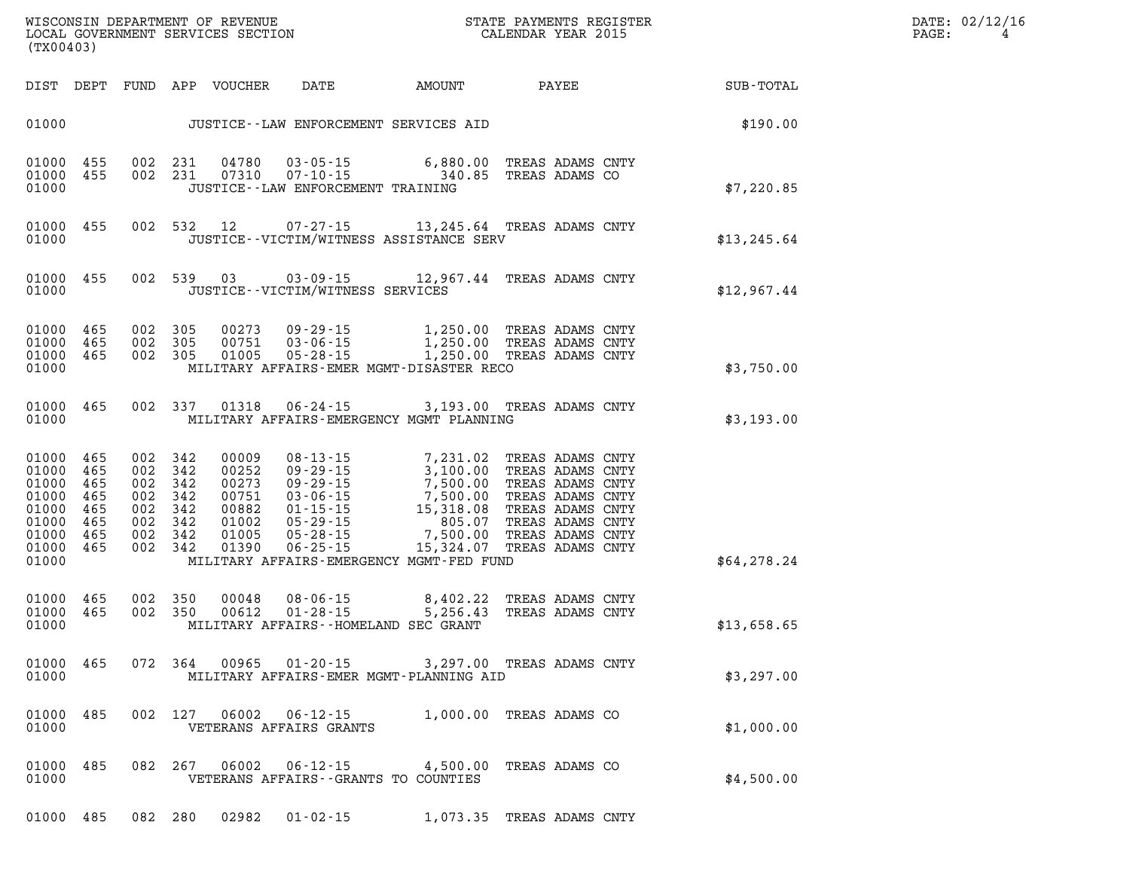| WISCONSIN DEPARTMENT OF REVENUE   | STATE PAYMENTS REGISTER |       | DATE: 02/12/16 |
|-----------------------------------|-------------------------|-------|----------------|
| LOCAL GOVERNMENT SERVICES SECTION | CALENDAR YEAR 2015      | PAGE: |                |

| (TX00403)                                                                         |                                               |                                                     |                               | LOCAL GOVERNMENT SERVICES SECTION                                    |                                           | CALENDAR YEAR 2015                                                                                                                                                           |                                             |                                                             | PAGE: | 4 |
|-----------------------------------------------------------------------------------|-----------------------------------------------|-----------------------------------------------------|-------------------------------|----------------------------------------------------------------------|-------------------------------------------|------------------------------------------------------------------------------------------------------------------------------------------------------------------------------|---------------------------------------------|-------------------------------------------------------------|-------|---|
|                                                                                   |                                               |                                                     |                               |                                                                      |                                           |                                                                                                                                                                              |                                             | DIST DEPT FUND APP VOUCHER DATE AMOUNT PAYEE PATE SUB-TOTAL |       |   |
|                                                                                   |                                               |                                                     |                               |                                                                      |                                           |                                                                                                                                                                              |                                             | \$190.00                                                    |       |   |
| 01000 455<br>01000<br>01000                                                       | 455                                           |                                                     | 002 231                       | 04780<br>002 231 07310                                               | JUSTICE -- LAW ENFORCEMENT TRAINING       | 03-05-15 6,880.00<br>07-10-15 340.85                                                                                                                                         | 6,880.00 TREAS ADAMS CNTY<br>TREAS ADAMS CO | \$7,220.85                                                  |       |   |
| 01000<br>01000                                                                    | 455                                           |                                                     |                               |                                                                      |                                           | 002 532 12 07-27-15 13,245.64 TREAS ADAMS CNTY<br>JUSTICE - - VICTIM/WITNESS ASSISTANCE SERV                                                                                 |                                             | \$13, 245.64                                                |       |   |
| 01000 455<br>01000                                                                |                                               |                                                     |                               |                                                                      | JUSTICE -- VICTIM/WITNESS SERVICES        | 002 539 03 03-09-15 12,967.44 TREAS ADAMS CNTY                                                                                                                               |                                             | \$12,967.44                                                 |       |   |
| 01000<br>01000 465<br>01000 465<br>01000                                          | 465                                           | 002 305<br>002 305                                  | 002 305                       |                                                                      |                                           | 00273 09-29-15 1,250.00 TREAS ADAMS CNTY<br>00751 03-06-15 1,250.00 TREAS ADAMS CNTY<br>01005 05-28-15 1,250.00 TREAS ADAMS CNTY<br>MILITARY AFFAIRS-EMER MGMT-DISASTER RECO |                                             | \$3,750.00                                                  |       |   |
| 01000                                                                             | 01000 465                                     |                                                     |                               | 002 337 01318                                                        |                                           | 06-24-15 3,193.00 TREAS ADAMS CNTY<br>MILITARY AFFAIRS-EMERGENCY MGMT PLANNING                                                                                               |                                             | \$3,193.00                                                  |       |   |
| 01000<br>01000<br>01000<br>01000<br>01000<br>01000<br>01000<br>01000 465<br>01000 | 465<br>465<br>465<br>465<br>465<br>465<br>465 | 002 342<br>002 342<br>002 342<br>002 342<br>002 342 | 002 342<br>002 342<br>002 342 | 00009<br>00252<br>00273<br>00751<br>00882<br>01002<br>01005<br>01390 |                                           | MILITARY AFFAIRS-EMERGENCY MGMT-FED FUND                                                                                                                                     |                                             | \$64,278.24                                                 |       |   |
| 01000 465<br>01000 465<br>01000                                                   |                                               | 002 350<br>002 350                                  |                               | 00048<br>00612                                                       |                                           | 08-06-15 8,402.22<br>01-28-15 5,256.43<br>MILITARY AFFAIRS--HOMELAND SEC GRANT                                                                                               | TREAS ADAMS CNTY<br>TREAS ADAMS CNTY        | \$13,658.65                                                 |       |   |
| 01000 465<br>01000                                                                |                                               |                                                     | 072 364                       | 00965                                                                | $01 - 20 - 15$                            | MILITARY AFFAIRS-EMER MGMT-PLANNING AID                                                                                                                                      | 3,297.00 TREAS ADAMS CNTY                   | \$3,297.00                                                  |       |   |
| 01000<br>01000                                                                    | 485                                           |                                                     | 002 127                       | 06002                                                                | $06 - 12 - 15$<br>VETERANS AFFAIRS GRANTS |                                                                                                                                                                              | 1,000.00 TREAS ADAMS CO                     | \$1,000.00                                                  |       |   |
| 01000<br>01000                                                                    | 485                                           |                                                     | 082 267                       | 06002                                                                | $06 - 12 - 15$                            | VETERANS AFFAIRS -- GRANTS TO COUNTIES                                                                                                                                       | 4,500.00 TREAS ADAMS CO                     | \$4,500.00                                                  |       |   |
| 01000 485                                                                         |                                               |                                                     | 082 280                       | 02982                                                                | $01 - 02 - 15$                            |                                                                                                                                                                              | 1,073.35 TREAS ADAMS CNTY                   |                                                             |       |   |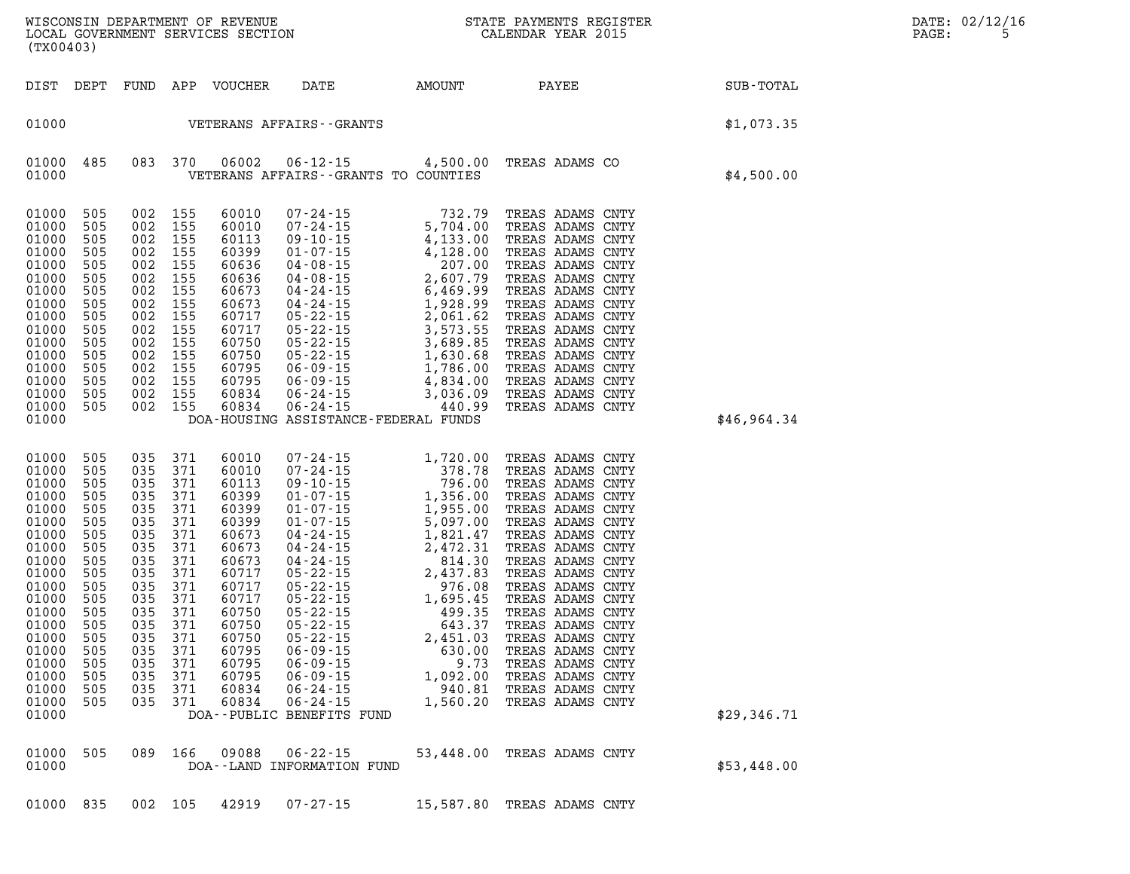| WISCONSIN DEPARTMENT OF REVENUE (STATE PAYMENTS REGISTER LOCAL GOVERNMENT SERVICES SECTION<br>(TX00403)                                                                                                                                                                                                                                                                                                                                                                                                                                                                                                                                                                                                                  |                                        |                                                                              |             | DATE: 02/12/16<br>PAGE:<br>5 |
|--------------------------------------------------------------------------------------------------------------------------------------------------------------------------------------------------------------------------------------------------------------------------------------------------------------------------------------------------------------------------------------------------------------------------------------------------------------------------------------------------------------------------------------------------------------------------------------------------------------------------------------------------------------------------------------------------------------------------|----------------------------------------|------------------------------------------------------------------------------|-------------|------------------------------|
| DIST DEPT FUND APP VOUCHER DATE AMOUNT PAYEE PAYEE SUB-TOTAL                                                                                                                                                                                                                                                                                                                                                                                                                                                                                                                                                                                                                                                             |                                        |                                                                              |             |                              |
| 01000    VETERANS AFFAIRS - - GRANTS                                                                                                                                                                                                                                                                                                                                                                                                                                                                                                                                                                                                                                                                                     |                                        |                                                                              | \$1,073.35  |                              |
| VETERANS AFFAIRS - GRANTS TO COUNTIES                                                                                                                                                                                                                                                                                                                                                                                                                                                                                                                                                                                                                                                                                    |                                        |                                                                              | \$4,500.00  |                              |
| 01000 505<br>01000 505<br>01000 505<br>01000<br>505<br>01000 505<br>01000<br>505<br>01000 505<br>01000 505<br>01000 505<br>01000<br>505<br>01000 505<br>01000 505<br>01000 505<br>01000 505<br>01000 505<br>01000 505<br>01000<br>DOA-HOUSING ASSISTANCE-FEDERAL FUNDS                                                                                                                                                                                                                                                                                                                                                                                                                                                   |                                        |                                                                              | \$46,964.34 |                              |
| 01000 505<br>035 371<br>01000 505<br>035 371<br>01000<br>035 371<br>- 505<br>01000 505<br>035 371<br>01000<br>035 371<br>- 505<br>01000 505<br>035 371<br>01000<br>035 371<br>- 505<br>01000 505<br>035 371<br>01000<br>035 371<br>- 505<br>01000 505<br>035 371<br>01000 505<br>035 371<br>01000 505<br>035 371<br>01000 505<br>035 371<br>035 371<br>01000 505<br>035 371<br>01000 505<br>01000 505<br>035 371 60795 06-09-15 630.00 TREAS ADAMS CNTY<br>505<br>01000<br>035 371<br>60795<br>$06 - 09 - 15$<br>505<br>035 371<br>$06 - 09 - 15$<br>01000<br>60795<br>01000<br>371<br>60834<br>$06 - 24 - 15$<br>505<br>035<br>01000<br>$06 - 24 - 15$<br>505<br>035 371<br>60834<br>01000<br>DOA--PUBLIC BENEFITS FUND | 9.73<br>1,092.00<br>940.81<br>1,560.20 | TREAS ADAMS CNTY<br>TREAS ADAMS CNTY<br>TREAS ADAMS CNTY<br>TREAS ADAMS CNTY | \$29,346.71 |                              |
| $06 - 22 - 15$<br>01000<br>505<br>089 166<br>09088<br>01000<br>DOA--LAND INFORMATION FUND                                                                                                                                                                                                                                                                                                                                                                                                                                                                                                                                                                                                                                |                                        | 53,448.00 TREAS ADAMS CNTY                                                   | \$53,448.00 |                              |
| 01000 835<br>42919<br>$07 - 27 - 15$<br>002 105                                                                                                                                                                                                                                                                                                                                                                                                                                                                                                                                                                                                                                                                          |                                        | 15,587.80 TREAS ADAMS CNTY                                                   |             |                              |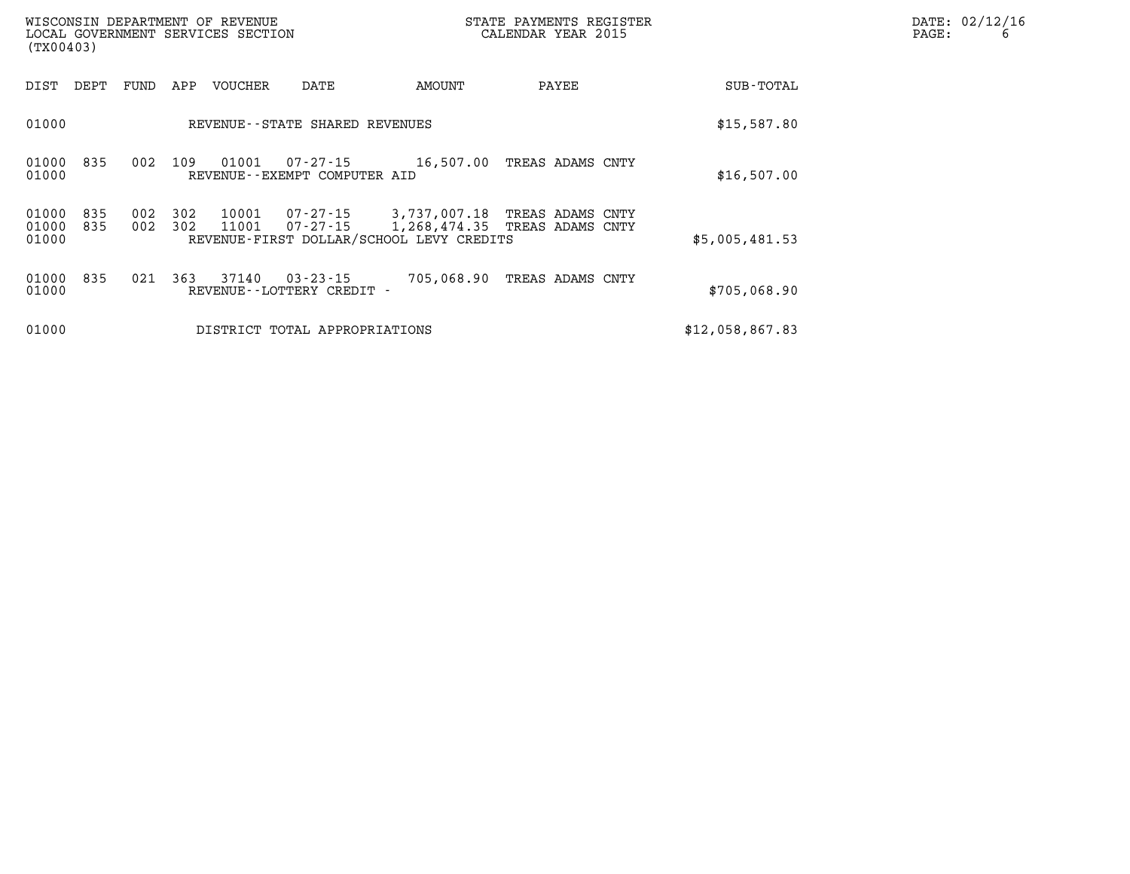| WISCONSIN DEPARTMENT OF REVENUE<br>LOCAL GOVERNMENT SERVICES SECTION<br>(TX00403) |            |            |            |                |                                                |                                                                                                                              | STATE PAYMENTS REGISTER<br>CALENDAR YEAR 2015 | PAGE:           | DATE: 02/12/16<br>6 |  |
|-----------------------------------------------------------------------------------|------------|------------|------------|----------------|------------------------------------------------|------------------------------------------------------------------------------------------------------------------------------|-----------------------------------------------|-----------------|---------------------|--|
| DIST                                                                              | DEPT       | FUND       | APP        | VOUCHER        | DATE                                           | AMOUNT                                                                                                                       | PAYEE                                         | SUB-TOTAL       |                     |  |
| 01000                                                                             |            |            |            |                | REVENUE--STATE SHARED REVENUES                 |                                                                                                                              |                                               | \$15,587.80     |                     |  |
| 01000<br>01000                                                                    | 835        | 002        | 109        | 01001          | 07-27-15<br>REVENUE--EXEMPT COMPUTER AID       | 16,507.00 TREAS ADAMS CNTY                                                                                                   |                                               | \$16,507.00     |                     |  |
| 01000<br>01000<br>01000                                                           | 835<br>835 | 002<br>002 | 302<br>302 | 10001<br>11001 |                                                | 07-27-15 3,737,007.18 TREAS ADAMS CNTY<br>07-27-15 1,268,474.35 TREAS ADAMS CNTY<br>REVENUE-FIRST DOLLAR/SCHOOL LEVY CREDITS |                                               | \$5,005,481.53  |                     |  |
| 01000<br>01000                                                                    | 835        | 021        | 363        | 37140          | $03 - 23 - 15$<br>REVENUE - - LOTTERY CREDIT - | 705,068.90                                                                                                                   | TREAS ADAMS CNTY                              | \$705,068.90    |                     |  |
| 01000                                                                             |            |            |            |                | DISTRICT TOTAL APPROPRIATIONS                  |                                                                                                                              |                                               | \$12,058,867.83 |                     |  |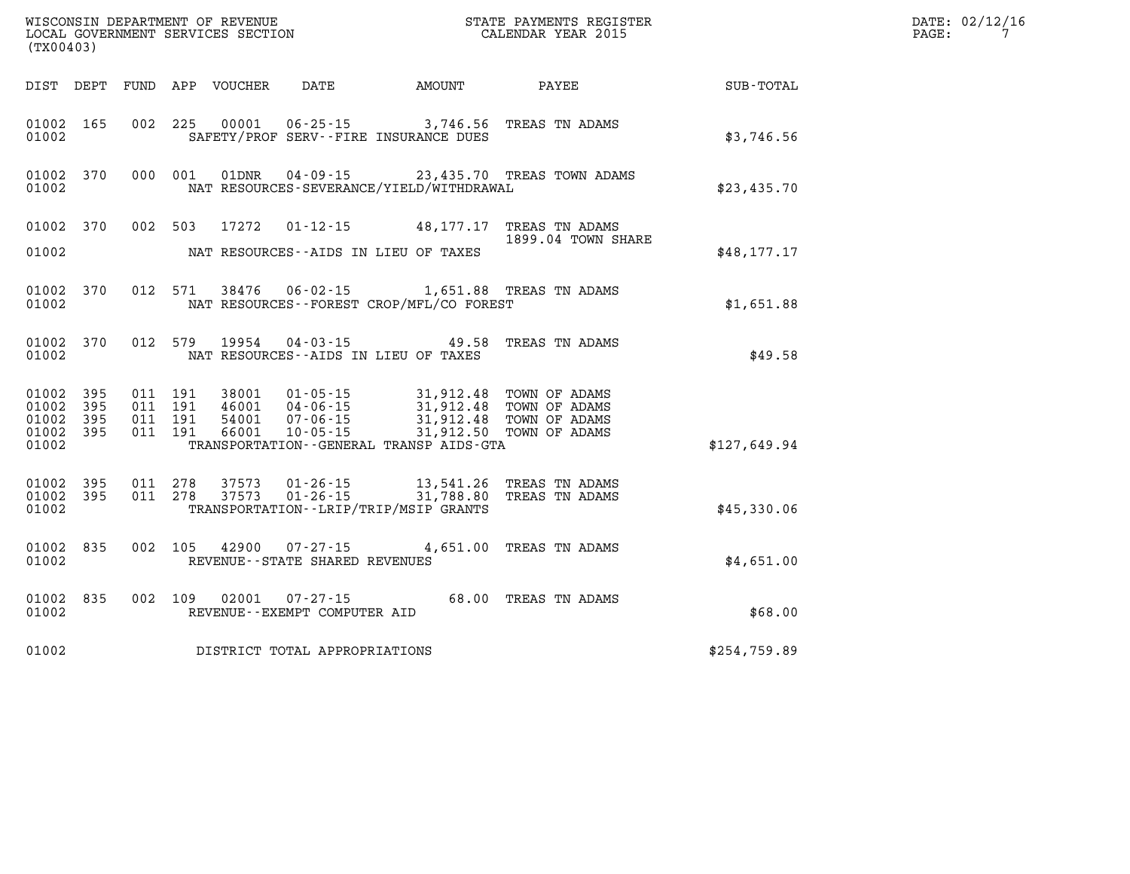| (TX00403)                                         |              |                    |                    | WISCONSIN DEPARTMENT OF REVENUE<br>LOCAL GOVERNMENT SERVICES SECTION |                                          |                                                                                                                                                                                                                | STATE PAYMENTS REGISTER<br>CALENDAR YEAR 2015  |              | DATE: 02/12/16<br>$\mathtt{PAGE}$ :<br>7 |
|---------------------------------------------------|--------------|--------------------|--------------------|----------------------------------------------------------------------|------------------------------------------|----------------------------------------------------------------------------------------------------------------------------------------------------------------------------------------------------------------|------------------------------------------------|--------------|------------------------------------------|
|                                                   |              |                    |                    | DIST DEPT FUND APP VOUCHER                                           | DATE                                     | AMOUNT                                                                                                                                                                                                         | <b>PAYEE</b>                                   | SUB-TOTAL    |                                          |
| 01002 165<br>01002                                |              |                    |                    |                                                                      |                                          | SAFETY/PROF SERV--FIRE INSURANCE DUES                                                                                                                                                                          | 002 225 00001 06-25-15 3,746.56 TREAS TN ADAMS | \$3,746.56   |                                          |
| 01002                                             | 01002 370    |                    | 000 001            |                                                                      |                                          | NAT RESOURCES-SEVERANCE/YIELD/WITHDRAWAL                                                                                                                                                                       | 01DNR  04-09-15  23,435.70 TREAS TOWN ADAMS    | \$23,435.70  |                                          |
| 01002 370                                         |              |                    | 002 503            | 17272                                                                |                                          |                                                                                                                                                                                                                | 01-12-15 48,177.17 TREAS TN ADAMS              |              |                                          |
| 01002                                             |              |                    |                    |                                                                      |                                          | NAT RESOURCES--AIDS IN LIEU OF TAXES                                                                                                                                                                           | 1899.04 TOWN SHARE                             | \$48, 177.17 |                                          |
| 01002                                             | 01002 370    |                    |                    |                                                                      |                                          | NAT RESOURCES - - FOREST CROP/MFL/CO FOREST                                                                                                                                                                    | 012 571 38476 06-02-15 1,651.88 TREAS TN ADAMS | \$1,651.88   |                                          |
| 01002                                             | 01002 370    |                    |                    | 012 579 19954                                                        | $04 - 03 - 15$                           | NAT RESOURCES--AIDS IN LIEU OF TAXES                                                                                                                                                                           | 49.58 TREAS TN ADAMS                           | \$49.58      |                                          |
| 01002 395<br>01002<br>01002<br>01002 395<br>01002 | 395<br>- 395 | 011 191<br>011 191 | 011 191<br>011 191 | 38001                                                                |                                          | 01-05-15 31,912.48 TOWN OF ADAMS<br>46001 04-06-15 31,912.48 TOWN OF ADAMS<br>54001 07-06-15 31,912.48 TOWN OF ADAMS<br>66001 10-05-15 31,912.50 TOWN OF ADAMS<br>TRANSPORTATION - - GENERAL TRANSP AIDS - GTA |                                                | \$127,649.94 |                                          |
| 01002 395<br>01002 395<br>01002                   |              | 011 278<br>011 278 |                    |                                                                      |                                          | TRANSPORTATION - - LRIP/TRIP/MSIP GRANTS                                                                                                                                                                       |                                                | \$45,330.06  |                                          |
| 01002 835<br>01002                                |              | 002 105            |                    |                                                                      | REVENUE - - STATE SHARED REVENUES        |                                                                                                                                                                                                                | 42900  07-27-15  4,651.00 TREAS TN ADAMS       | \$4,651.00   |                                          |
| 01002                                             | 01002 835    |                    | 002 109            | 02001                                                                | 07-27-15<br>REVENUE--EXEMPT COMPUTER AID |                                                                                                                                                                                                                | 68.00 TREAS TN ADAMS                           | \$68.00      |                                          |
| 01002                                             |              |                    |                    |                                                                      | DISTRICT TOTAL APPROPRIATIONS            |                                                                                                                                                                                                                |                                                | \$254,759.89 |                                          |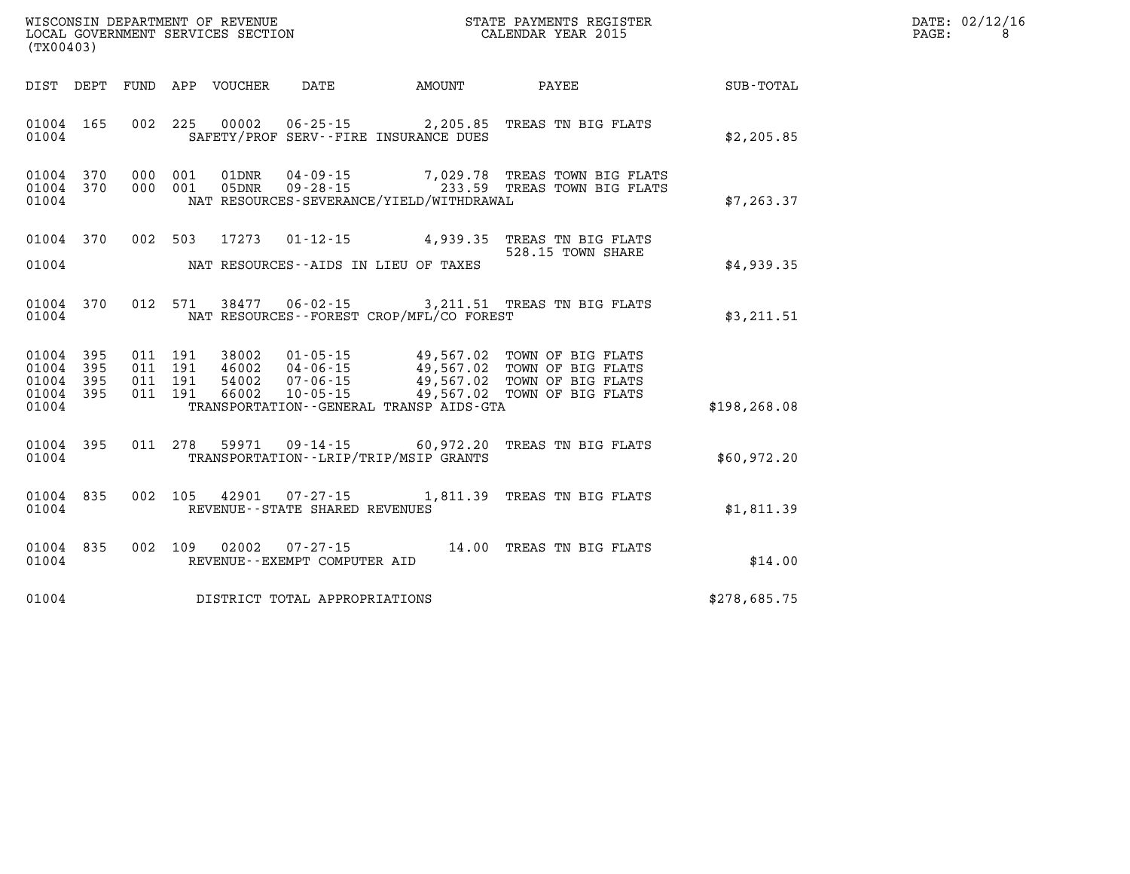|       | DATE: 02/12/16 |
|-------|----------------|
| PAGE: | 8              |

| WISCONSIN DEPARTMENT OF REVENUE<br>(TX00403)                                        | LOCAL GOVERNMENT SERVICES SECTION                                                                                                                                          | STATE PAYMENTS REGISTER<br>CALENDAR YEAR 2015 |                                                                                                                         |              |  |
|-------------------------------------------------------------------------------------|----------------------------------------------------------------------------------------------------------------------------------------------------------------------------|-----------------------------------------------|-------------------------------------------------------------------------------------------------------------------------|--------------|--|
| DIST DEPT<br>FUND                                                                   | APP VOUCHER DATE                                                                                                                                                           | <b>AMOUNT</b>                                 | <b>PAYEE</b>                                                                                                            | SUB-TOTAL    |  |
| 01004<br>165<br>01004                                                               | 002 225<br>00002<br>SAFETY/PROF SERV--FIRE INSURANCE DUES                                                                                                                  |                                               | 06-25-15 2,205.85 TREAS TN BIG FLATS                                                                                    | \$2, 205.85  |  |
| 370<br>000<br>01004<br>370<br>000<br>01004<br>01004                                 | 001<br>04 - 09 - 15<br>09 - 28 - 15<br>01DNR<br>001<br>05DNR<br>NAT RESOURCES-SEVERANCE/YIELD/WITHDRAWAL                                                                   |                                               | 7,029.78 TREAS TOWN BIG FLATS<br>233.59 TREAS TOWN BIG FLATS                                                            | \$7,263.37   |  |
| 002<br>01004<br>370<br>01004                                                        | 503<br>17273<br>NAT RESOURCES--AIDS IN LIEU OF TAXES                                                                                                                       |                                               | 01-12-15 4,939.35 TREAS TN BIG FLATS<br>528.15 TOWN SHARE                                                               | \$4,939.35   |  |
| 370<br>01004<br>01004                                                               | 012 571<br>38477   06-02-15   3,211.51   TREAS TN BIG FLATS<br>NAT RESOURCES - - FOREST CROP/MFL/CO FOREST                                                                 |                                               |                                                                                                                         | \$3,211.51   |  |
| 01004<br>395<br>395<br>01004<br>01004<br>395<br>011<br>01004<br>395<br>011<br>01004 | 011 191<br>38002<br>011 191<br>46002<br>$04 - 06 - 15$<br>191<br>$07 - 06 - 15$<br>54002<br>191<br>66002<br>$10 - 05 - 15$<br>TRANSPORTATION - - GENERAL TRANSP AIDS - GTA | 49,567.02                                     | 01-05-15 49,567.02 TOWN OF BIG FLATS<br>49,567.02 TOWN OF BIG FLATS<br>49,567.02 TOWN OF BIG FLATS<br>TOWN OF BIG FLATS | \$198,268.08 |  |
| 395<br>01004<br>01004                                                               | 011 278<br>59971<br>TRANSPORTATION - - LRIP/TRIP/MSIP GRANTS                                                                                                               | $09 - 14 - 15$ 60,972.20                      | TREAS TN BIG FLATS                                                                                                      | \$60,972.20  |  |
| 01004 835<br>002<br>01004                                                           | 105<br>42901<br>$07 - 27 - 15$<br>REVENUE - - STATE SHARED REVENUES                                                                                                        |                                               | 1,811.39 TREAS TN BIG FLATS                                                                                             | \$1,811.39   |  |
| 835<br>002<br>01004<br>01004                                                        | 109  02002  07-27-15<br>REVENUE--EXEMPT COMPUTER AID                                                                                                                       |                                               | 14.00 TREAS TN BIG FLATS                                                                                                | \$14.00      |  |
| 01004                                                                               | DISTRICT TOTAL APPROPRIATIONS                                                                                                                                              |                                               |                                                                                                                         | \$278,685.75 |  |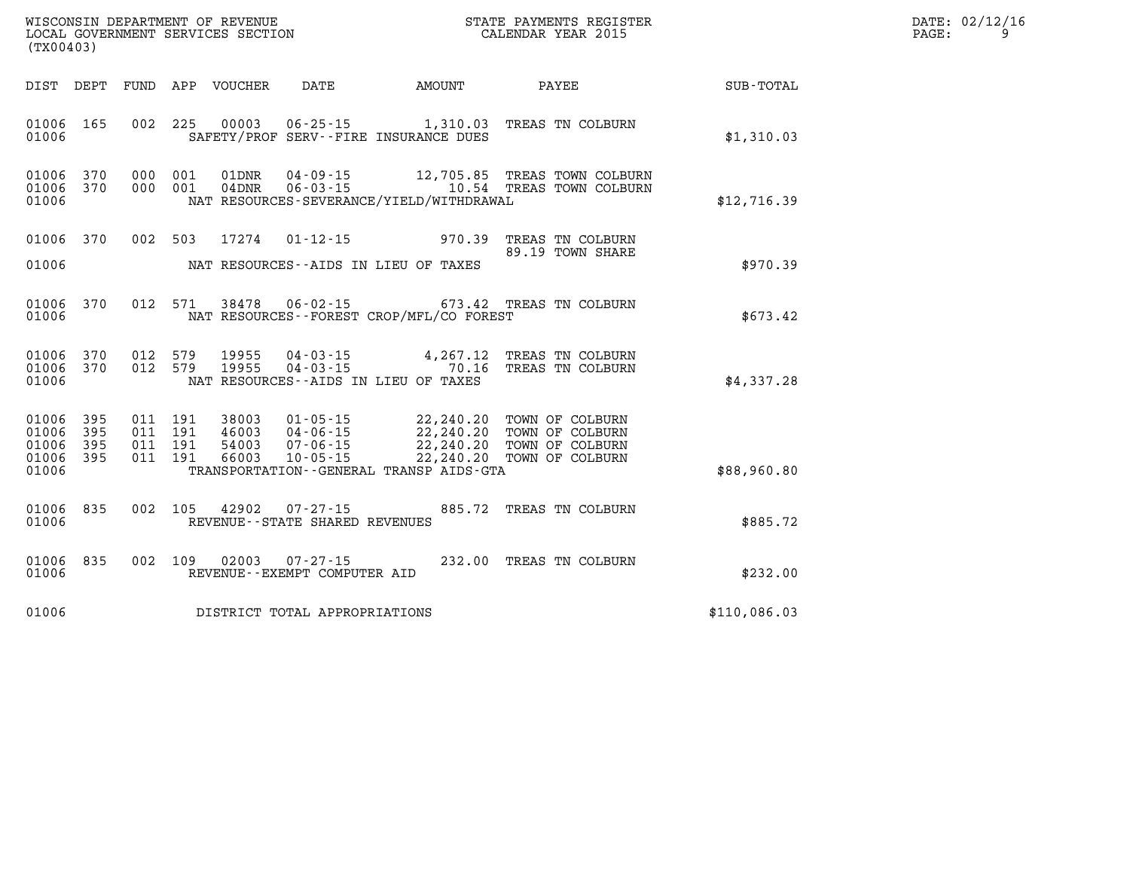| $\mathtt{DATE}$ : | 02/12/16 |
|-------------------|----------|
| PAGE:             |          |

| WISCONSIN DEPARTMENT OF REVENUE<br>LOCAL GOVERNMENT SERVICES SECTION<br>(TX00403) |                          |                          |                                                              |                                                                            |                                                                | STATE PAYMENTS REGISTER<br>CALENDAR YEAR 2015                            |                  |
|-----------------------------------------------------------------------------------|--------------------------|--------------------------|--------------------------------------------------------------|----------------------------------------------------------------------------|----------------------------------------------------------------|--------------------------------------------------------------------------|------------------|
| DIST                                                                              | DEPT                     | FUND                     | VOUCHER<br>APP                                               | DATE                                                                       | AMOUNT                                                         | PAYEE                                                                    | <b>SUB-TOTAL</b> |
| 01006<br>01006                                                                    | 165                      | 002                      | 225<br>00003                                                 | $06 - 25 - 15$                                                             | 1,310.03<br>SAFETY/PROF SERV--FIRE INSURANCE DUES              | TREAS TN COLBURN                                                         | \$1,310.03       |
| 01006<br>01006<br>01006                                                           | 370<br>370               | 000<br>000               | 001<br>01DNR<br>001<br>$04$ DNR                              | $04 - 09 - 15$<br>$06 - 03 - 15$                                           | 12,705.85<br>10.54<br>NAT RESOURCES-SEVERANCE/YIELD/WITHDRAWAL | TREAS TOWN COLBURN<br>TREAS TOWN COLBURN                                 | \$12,716.39      |
| 01006                                                                             | 370                      | 002                      | 17274<br>503                                                 | $01 - 12 - 15$                                                             | 970.39                                                         | TREAS TN COLBURN<br>89.19 TOWN SHARE                                     |                  |
| 01006                                                                             |                          |                          |                                                              |                                                                            | NAT RESOURCES -- AIDS IN LIEU OF TAXES                         |                                                                          | \$970.39         |
| 01006<br>01006                                                                    | 370                      | 012                      | 38478<br>571                                                 | $06 - 02 - 15$                                                             | 673.42<br>NAT RESOURCES - - FOREST CROP/MFL/CO FOREST          | TREAS TN COLBURN                                                         | \$673.42         |
| 01006<br>01006<br>01006                                                           | 370<br>370               | 012<br>012               | 579<br>19955<br>579<br>19955                                 | $04 - 03 - 15$<br>$04 - 03 - 15$<br>NAT RESOURCES -- AIDS IN LIEU OF TAXES | 4,267.12<br>70.16                                              | TREAS TN COLBURN<br>TREAS TN COLBURN                                     | \$4,337.28       |
| 01006<br>01006<br>01006<br>01006                                                  | 395<br>395<br>395<br>395 | 011<br>011<br>011<br>011 | 191<br>38003<br>191<br>46003<br>191<br>54003<br>191<br>66003 | $01 - 05 - 15$<br>$04 - 06 - 15$<br>$07 - 06 - 15$<br>$10 - 05 - 15$       | 22,240.20<br>22,240.20<br>22,240.20<br>22,240.20               | TOWN OF COLBURN<br>TOWN OF COLBURN<br>TOWN OF COLBURN<br>TOWN OF COLBURN |                  |
| 01006                                                                             |                          |                          |                                                              |                                                                            | TRANSPORTATION--GENERAL TRANSP AIDS-GTA                        |                                                                          | \$88,960.80      |
| 01006<br>01006                                                                    | 835                      | 002                      | 105<br>42902                                                 | 07-27-15<br>REVENUE - - STATE SHARED REVENUES                              | 885.72                                                         | TREAS TN COLBURN                                                         | \$885.72         |
| 01006<br>01006                                                                    | 835                      | 002                      | 02003<br>109                                                 | $07 - 27 - 15$<br>REVENUE--EXEMPT COMPUTER AID                             | 232.00                                                         | TREAS TN COLBURN                                                         | \$232.00         |
| 01006                                                                             |                          |                          |                                                              | DISTRICT TOTAL APPROPRIATIONS                                              |                                                                |                                                                          | \$110,086.03     |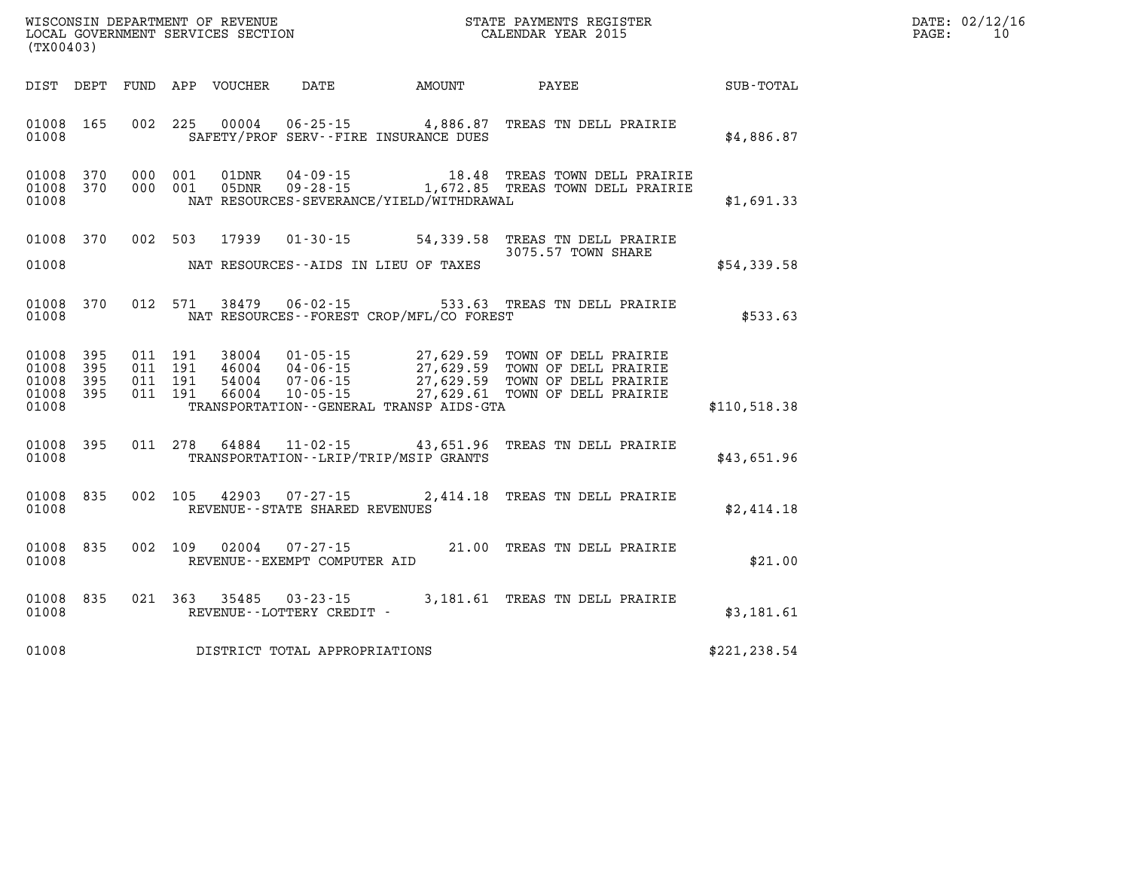| WISCONSIN DEPARTMENT OF REVENUE   | STATE PAYMENTS REGISTER | DATE: | : 02/12/16 |
|-----------------------------------|-------------------------|-------|------------|
| LOCAL GOVERNMENT SERVICES SECTION | CALENDAR YEAR 2015      | PAGE. |            |

|                                                       | LOCAL GOVERNMENT SERVICES SECTION<br>(TX00403) |  |  |  |                                |                                          | CALENDAR YEAR 2015                                                                                                                                                                                                               |               | PAGE: | 10 |
|-------------------------------------------------------|------------------------------------------------|--|--|--|--------------------------------|------------------------------------------|----------------------------------------------------------------------------------------------------------------------------------------------------------------------------------------------------------------------------------|---------------|-------|----|
|                                                       |                                                |  |  |  |                                |                                          | DIST DEPT FUND APP VOUCHER DATE AMOUNT PAYEE SUB-TOTAL                                                                                                                                                                           |               |       |    |
| 01008 165<br>01008                                    |                                                |  |  |  |                                | SAFETY/PROF SERV--FIRE INSURANCE DUES    | 002 225 00004 06-25-15 4,886.87 TREAS TN DELL PRAIRIE                                                                                                                                                                            | \$4,886.87    |       |    |
| 01008 370<br>01008 370<br>01008                       |                                                |  |  |  |                                | NAT RESOURCES-SEVERANCE/YIELD/WITHDRAWAL | 000 001 01DNR 04-09-15 18.48 TREAS TOWN DELL PRAIRIE<br>000 001 05DNR 09-28-15 1,672.85 TREAS TOWN DELL PRAIRIE                                                                                                                  | \$1,691.33    |       |    |
| 01008                                                 |                                                |  |  |  |                                | NAT RESOURCES--AIDS IN LIEU OF TAXES     | 01008 370 002 503 17939 01-30-15 54,339.58 TREAS TN DELL PRAIRIE<br>3075.57 TOWN SHARE                                                                                                                                           | \$54,339.58   |       |    |
| 01008                                                 | 01008 370                                      |  |  |  |                                | NAT RESOURCES--FOREST CROP/MFL/CO FOREST | 012 571 38479 06-02-15 533.63 TREAS TN DELL PRAIRIE                                                                                                                                                                              | \$533.63      |       |    |
| 01008 395<br>01008<br>01008 395<br>01008 395<br>01008 | 395                                            |  |  |  |                                | TRANSPORTATION--GENERAL TRANSP AIDS-GTA  | 011 191 38004 01-05-15 27,629.59 TOWN OF DELL PRAIRIE<br>011 191 46004 04-06-15 27,629.59 TOWN OF DELL PRAIRIE<br>011 191 54004 07-06-15 27,629.59 TOWN OF DELL PRAIRIE<br>011 191 66004 10-05-15 27,629.61 TOWN OF DELL PRAIRIE | \$110,518.38  |       |    |
| 01008 395<br>01008                                    |                                                |  |  |  |                                | TRANSPORTATION - - LRIP/TRIP/MSIP GRANTS | 011  278  64884  11-02-15  43,651.96  TREAS TN DELL PRAIRIE                                                                                                                                                                      | \$43,651.96   |       |    |
| 01008 835<br>01008                                    |                                                |  |  |  | REVENUE--STATE SHARED REVENUES |                                          | 002 105 42903 07-27-15 2,414.18 TREAS TN DELL PRAIRIE                                                                                                                                                                            | \$2,414.18    |       |    |
| 01008 835<br>01008                                    |                                                |  |  |  | REVENUE--EXEMPT COMPUTER AID   |                                          | 002 109 02004 07-27-15 21.00 TREAS TN DELL PRAIRIE                                                                                                                                                                               | \$21.00       |       |    |
| 01008                                                 |                                                |  |  |  | REVENUE--LOTTERY CREDIT -      |                                          | 01008 835 021 363 35485 03-23-15 3,181.61 TREAS TN DELL PRAIRIE                                                                                                                                                                  | \$3,181.61    |       |    |
| 01008                                                 |                                                |  |  |  | DISTRICT TOTAL APPROPRIATIONS  |                                          |                                                                                                                                                                                                                                  | \$221, 238.54 |       |    |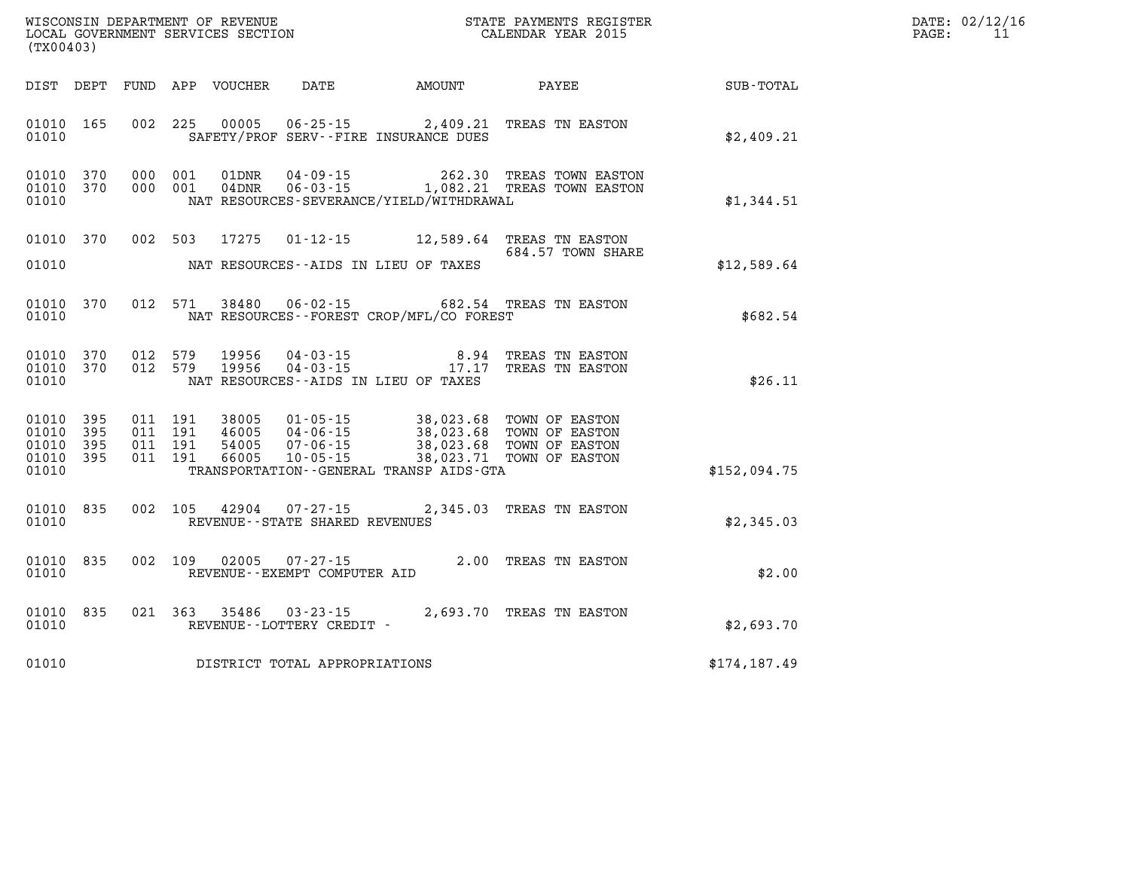| DATE: | 02/12/16 |
|-------|----------|
| PAGE: | 11       |

| WISCONSIN DEPARTMENT OF REVENUE<br>LOCAL GOVERNMENT SERVICES SECTION<br>CALENDAR YEAR 2015<br>(TX00403) |     |  |                               |                                 |                                     |                                             | STATE PAYMENTS REGISTER                                                                                                                          |              | DATE: 02/12/1<br>11<br>PAGE: |
|---------------------------------------------------------------------------------------------------------|-----|--|-------------------------------|---------------------------------|-------------------------------------|---------------------------------------------|--------------------------------------------------------------------------------------------------------------------------------------------------|--------------|------------------------------|
|                                                                                                         |     |  |                               |                                 |                                     |                                             |                                                                                                                                                  |              |                              |
| 01010 165<br>01010                                                                                      |     |  |                               |                                 |                                     | SAFETY/PROF SERV--FIRE INSURANCE DUES       | 002 225 00005 06-25-15 2,409.21 TREAS TN EASTON                                                                                                  | \$2,409.21   |                              |
| 01010<br>01010 370<br>01010                                                                             | 370 |  |                               |                                 |                                     | NAT RESOURCES-SEVERANCE/YIELD/WITHDRAWAL    |                                                                                                                                                  | \$1,344.51   |                              |
| 01010 370                                                                                               |     |  |                               |                                 |                                     |                                             | 684.57 TOWN SHARE                                                                                                                                |              |                              |
| 01010                                                                                                   |     |  |                               |                                 |                                     | NAT RESOURCES--AIDS IN LIEU OF TAXES        |                                                                                                                                                  | \$12,589.64  |                              |
| 01010 370<br>01010                                                                                      |     |  |                               |                                 |                                     | NAT RESOURCES - - FOREST CROP/MFL/CO FOREST | 012 571 38480 06-02-15 682.54 TREAS TN EASTON                                                                                                    | \$682.54     |                              |
| 01010 370<br>01010 370<br>01010                                                                         |     |  | 012 579                       | 19956<br>012 579 19956          |                                     | NAT RESOURCES--AIDS IN LIEU OF TAXES        | 04-03-15<br>04-03-15<br>04-03-15<br>17.17<br>TREAS TN EASTON                                                                                     | \$26.11      |                              |
| 01010 395<br>01010<br>01010 395<br>01010 395<br>01010                                                   | 395 |  | 011 191<br>011 191<br>011 191 | 011 191 38005<br>46005<br>54005 | 66005 10-05-15                      | TRANSPORTATION--GENERAL TRANSP AIDS-GTA     | 01-05-15 38,023.68 TOWN OF EASTON<br>04-06-15 38,023.68 TOWN OF EASTON<br>07-06-15 38,023.68 TOWN OF EASTON<br>10-05-15 38,023.71 TOWN OF EASTON | \$152,094.75 |                              |
| 01010 835<br>01010                                                                                      |     |  |                               |                                 | REVENUE--STATE SHARED REVENUES      |                                             | 002 105 42904 07-27-15 2,345.03 TREAS TN EASTON                                                                                                  | \$2,345.03   |                              |
| 01010<br>01010                                                                                          | 835 |  |                               | 002 109 02005                   | REVENUE--EXEMPT COMPUTER AID        |                                             | $07 - 27 - 15$ 2.00 TREAS TN EASTON                                                                                                              | \$2.00       |                              |
| 01010<br>01010                                                                                          | 835 |  |                               | 021 363 35486                   | REVENUE--LOTTERY CREDIT -           |                                             | 03-23-15 2,693.70 TREAS TN EASTON                                                                                                                | \$2,693.70   |                              |
|                                                                                                         |     |  |                               |                                 | 01010 DISTRICT TOTAL APPROPRIATIONS |                                             |                                                                                                                                                  | \$174,187.49 |                              |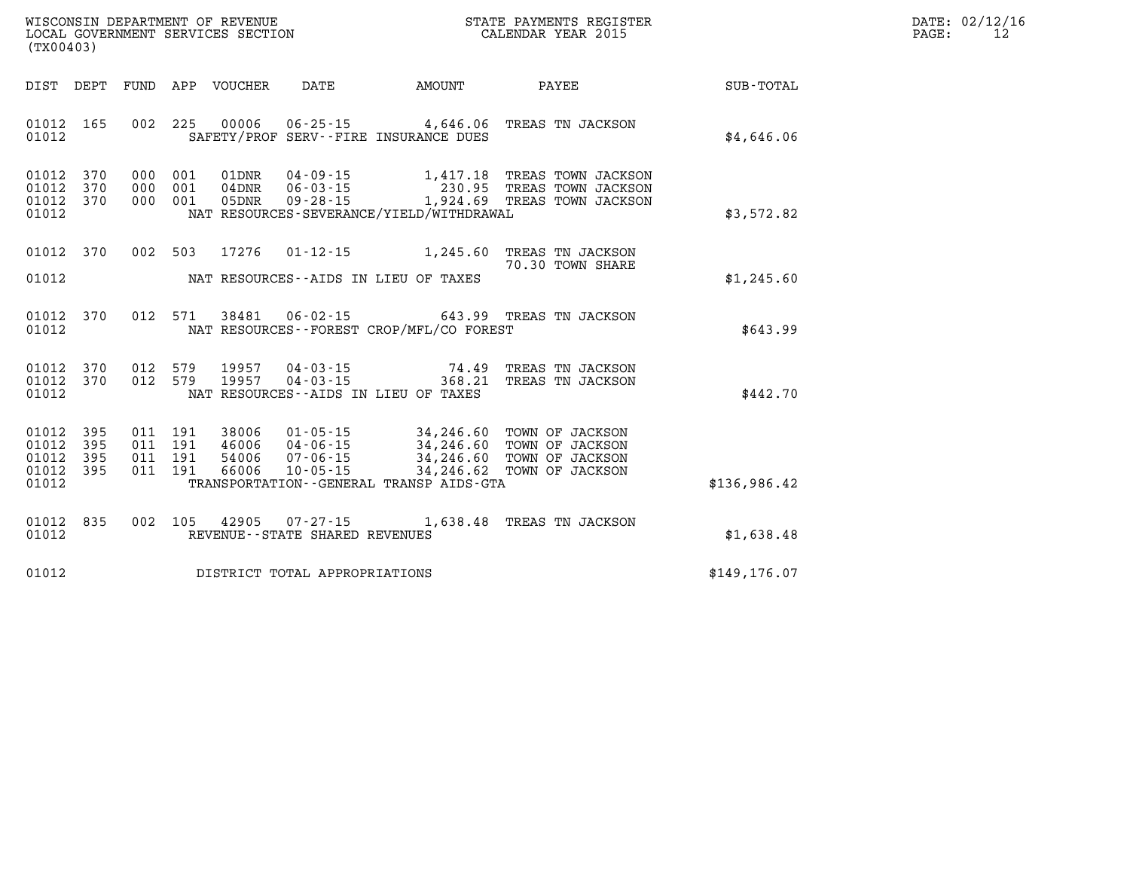| DATE: | 02/12/16 |
|-------|----------|
| PAGE: | 12       |

| DIST<br>DEPT<br>FUND                                                                              | APP<br><b>DATE</b><br><b>VOUCHER</b>                                                                                                                                            | AMOUNT<br>PAYEE                                                                                                              | SUB-TOTAL     |
|---------------------------------------------------------------------------------------------------|---------------------------------------------------------------------------------------------------------------------------------------------------------------------------------|------------------------------------------------------------------------------------------------------------------------------|---------------|
| 002<br>01012<br>165<br>01012                                                                      | 225<br>00006<br>$06 - 25 - 15$<br>SAFETY/PROF SERV--FIRE INSURANCE DUES                                                                                                         | 4,646.06<br>TREAS TN JACKSON                                                                                                 | \$4.646.06    |
| 01012<br>370<br>000<br>01012<br>370<br>000<br>370<br>000<br>01012<br>01012                        | 001<br>01DNR<br>$04 - 09 - 15$<br>001<br>$06 - 03 - 15$<br>04DNR<br>001<br>$09 - 28 - 15$<br>05DNR<br>NAT RESOURCES-SEVERANCE/YIELD/WITHDRAWAL                                  | 1,417.18<br>TREAS TOWN JACKSON<br>230.95<br>TREAS TOWN JACKSON<br>1,924.69<br>TREAS TOWN JACKSON                             | \$3,572.82    |
| 002<br>01012<br>370<br>01012                                                                      | 503<br>17276<br>$01 - 12 - 15$<br>NAT RESOURCES -- AIDS IN LIEU OF TAXES                                                                                                        | 1,245.60<br>TREAS TN JACKSON<br>70.30 TOWN SHARE                                                                             | \$1,245.60    |
| 012<br>370<br>01012<br>01012                                                                      | 571<br>38481<br>$06 - 02 - 15$<br>NAT RESOURCES - - FOREST CROP/MFL/CO FOREST                                                                                                   | 643.99<br>TREAS TN JACKSON                                                                                                   | \$643.99      |
| 01012<br>370<br>012<br>012<br>01012<br>370<br>01012                                               | 579<br>$04 - 03 - 15$<br>19957<br>579<br>19957<br>$04 - 03 - 15$<br>NAT RESOURCES -- AIDS IN LIEU OF TAXES                                                                      | 74.49<br>TREAS TN JACKSON<br>368.21<br>TREAS TN JACKSON                                                                      | \$442.70      |
| 01012<br>395<br>011<br>01012<br>395<br>011<br>01012<br>395<br>011<br>395<br>011<br>01012<br>01012 | 191<br>38006<br>$01 - 05 - 15$<br>191<br>46006<br>$04 - 06 - 15$<br>191<br>54006<br>$07 - 06 - 15$<br>191<br>66006<br>$10 - 05 - 15$<br>TRANSPORTATION--GENERAL TRANSP AIDS-GTA | 34,246.60<br>TOWN OF JACKSON<br>34,246.60<br>TOWN OF JACKSON<br>34,246.60<br>TOWN OF JACKSON<br>34,246.62<br>TOWN OF JACKSON | \$136,986.42  |
| 01012<br>835<br>002<br>01012                                                                      | 105<br>42905<br>$07 - 27 - 15$<br>REVENUE - - STATE SHARED REVENUES                                                                                                             | 1,638.48<br>TREAS TN JACKSON                                                                                                 | \$1,638.48    |
| 01012                                                                                             | DISTRICT TOTAL APPROPRIATIONS                                                                                                                                                   |                                                                                                                              | \$149, 176.07 |

WISCONSIN DEPARTMENT OF REVENUE **STATE PAYMENTS REGISTER**<br>LOCAL GOVERNMENT SERVICES SECTION

LOCAL GOVERNMENT SERVICES SECTION

**(TX00403)**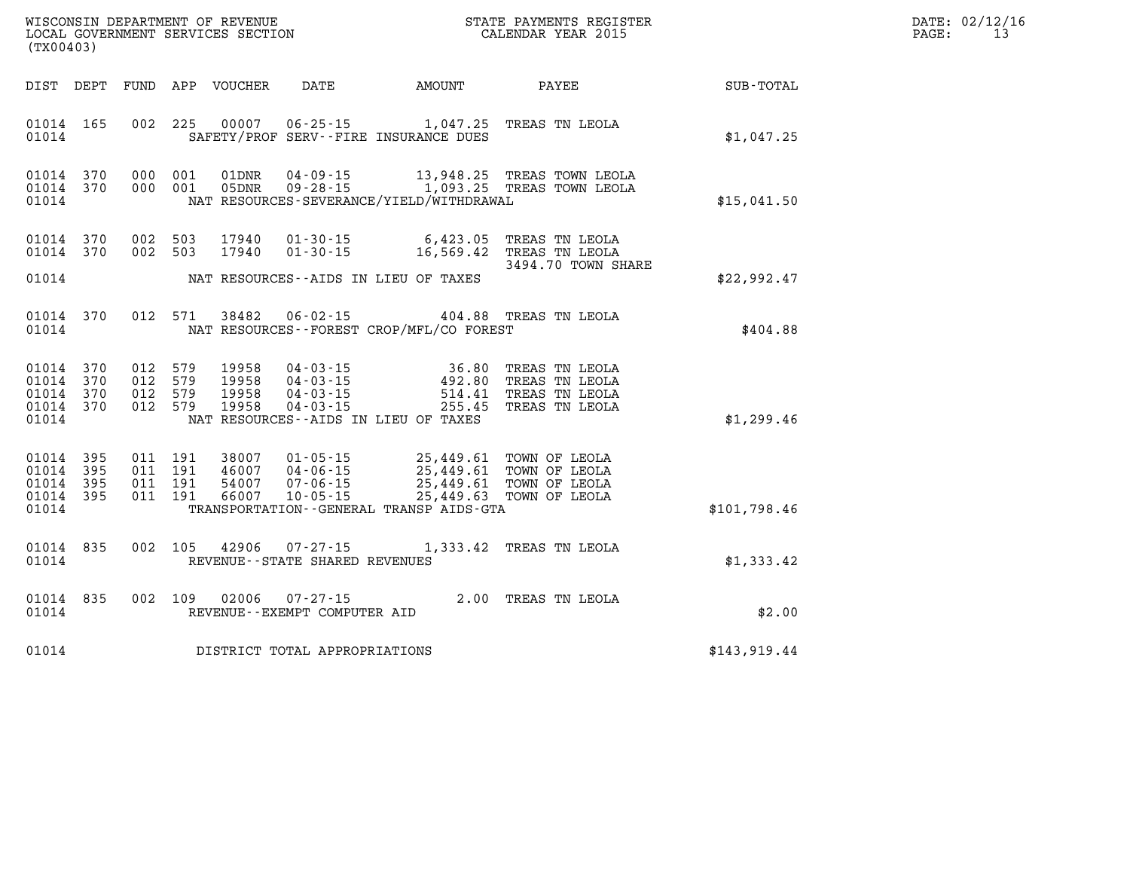| DATE: | 02/12/16 |
|-------|----------|
| PAGE: | 13       |

| WISCONSIN DEPARTMENT OF REVENUE<br>LOCAL GOVERNMENT SERVICES SECTION COLLENDAR YEAR 2015<br>(TX00403) |     |                    |                    |                                  |                                                |                                              | STATE PAYMENTS REGISTER                                                                                                                                                                                                                                                                                                                            |              | DATE: 02/12/1<br>PAGE:<br>13 |
|-------------------------------------------------------------------------------------------------------|-----|--------------------|--------------------|----------------------------------|------------------------------------------------|----------------------------------------------|----------------------------------------------------------------------------------------------------------------------------------------------------------------------------------------------------------------------------------------------------------------------------------------------------------------------------------------------------|--------------|------------------------------|
|                                                                                                       |     |                    |                    | DIST DEPT FUND APP VOUCHER       | <b>DATE</b>                                    |                                              | AMOUNT PAYEE                                                                                                                                                                                                                                                                                                                                       | SUB-TOTAL    |                              |
| 01014 165<br>01014                                                                                    |     |                    |                    |                                  |                                                | SAFETY/PROF SERV--FIRE INSURANCE DUES        | 002 225 00007 06-25-15 1,047.25 TREAS TN LEOLA                                                                                                                                                                                                                                                                                                     | \$1,047.25   |                              |
| 01014 370<br>01014 370<br>01014                                                                       |     |                    | 000 001            | 01DNR                            | $04 - 09 - 15$<br>000 001 05DNR 09-28-15       | NAT RESOURCES-SEVERANCE/YIELD/WITHDRAWAL     | 13,948.25 TREAS TOWN LEOLA<br>1,093.25 TREAS TOWN LEOLA                                                                                                                                                                                                                                                                                            | \$15,041.50  |                              |
| 01014 370<br>01014 370                                                                                |     |                    |                    | 002 503 17940                    |                                                |                                              | 002 503 17940 01-30-15 6,423.05 TREAS TN LEOLA<br>01-30-15 16,569.42 TREAS TN LEOLA<br>3494.70 TOWN SHARE                                                                                                                                                                                                                                          |              |                              |
| 01014                                                                                                 |     |                    |                    |                                  |                                                | NAT RESOURCES--AIDS IN LIEU OF TAXES         |                                                                                                                                                                                                                                                                                                                                                    | \$22,992.47  |                              |
| 01014 370<br>01014                                                                                    |     |                    |                    |                                  |                                                | NAT RESOURCES - - FOREST CROP/MFL/CO FOREST  | 012 571 38482 06-02-15 404.88 TREAS TN LEOLA                                                                                                                                                                                                                                                                                                       | \$404.88     |                              |
| 01014 370<br>01014 370<br>01014 370<br>01014 370<br>01014                                             |     | 012 579<br>012 579 | 012 579<br>012 579 | 19958<br>19958<br>19958<br>19958 |                                                | NAT RESOURCES -- AIDS IN LIEU OF TAXES       | 04-03-15<br>04-03-15<br>04-03-15<br>04-03-15<br>04-03-15<br>04-03-15<br>04-03-15<br>04-03-15<br>04-03-15<br>04-03-15<br>04-03-15<br>0255.45<br>0258.7<br>0258.7<br>0258.7<br>0258.7<br>0258.7<br>0258.7<br>0258.7<br>0258.0<br>0258.0<br>0258.0<br>0258.0<br>0258.0<br>0258.0<br>                                                                  | \$1,299.46   |                              |
| 01014 395<br>01014<br>01014 395<br>01014 395<br>01014                                                 | 395 |                    |                    |                                  |                                                | TRANSPORTATION - - GENERAL TRANSP AIDS - GTA | $\begin{array}{cccc} 011 & 191 & 38007 & 01\cdot 05\cdot 15 & 25,449.61 & \text{TOWN OF LEOLA} \\ 011 & 191 & 46007 & 04\cdot 06\cdot 15 & 25,449.61 & \text{TOWN OF LEOLA} \\ 011 & 191 & 54007 & 07\cdot 06\cdot 15 & 25,449.61 & \text{TOWN OF LEOLA} \\ 011 & 191 & 66007 & 10\cdot 05\cdot 15 & 25,449.63 & \text{TOWN OF LEOLA} \end{array}$ | \$101,798.46 |                              |
| 01014 835<br>01014                                                                                    |     |                    |                    |                                  | REVENUE - - STATE SHARED REVENUES              |                                              | 002 105 42906 07-27-15 1,333.42 TREAS TN LEOLA                                                                                                                                                                                                                                                                                                     | \$1,333.42   |                              |
| 01014 835<br>01014                                                                                    |     |                    |                    | 002 109 02006                    | $07 - 27 - 15$<br>REVENUE--EXEMPT COMPUTER AID |                                              | 2.00 TREAS TN LEOLA                                                                                                                                                                                                                                                                                                                                | \$2.00       |                              |
| 01014                                                                                                 |     |                    |                    |                                  | DISTRICT TOTAL APPROPRIATIONS                  |                                              |                                                                                                                                                                                                                                                                                                                                                    | \$143,919.44 |                              |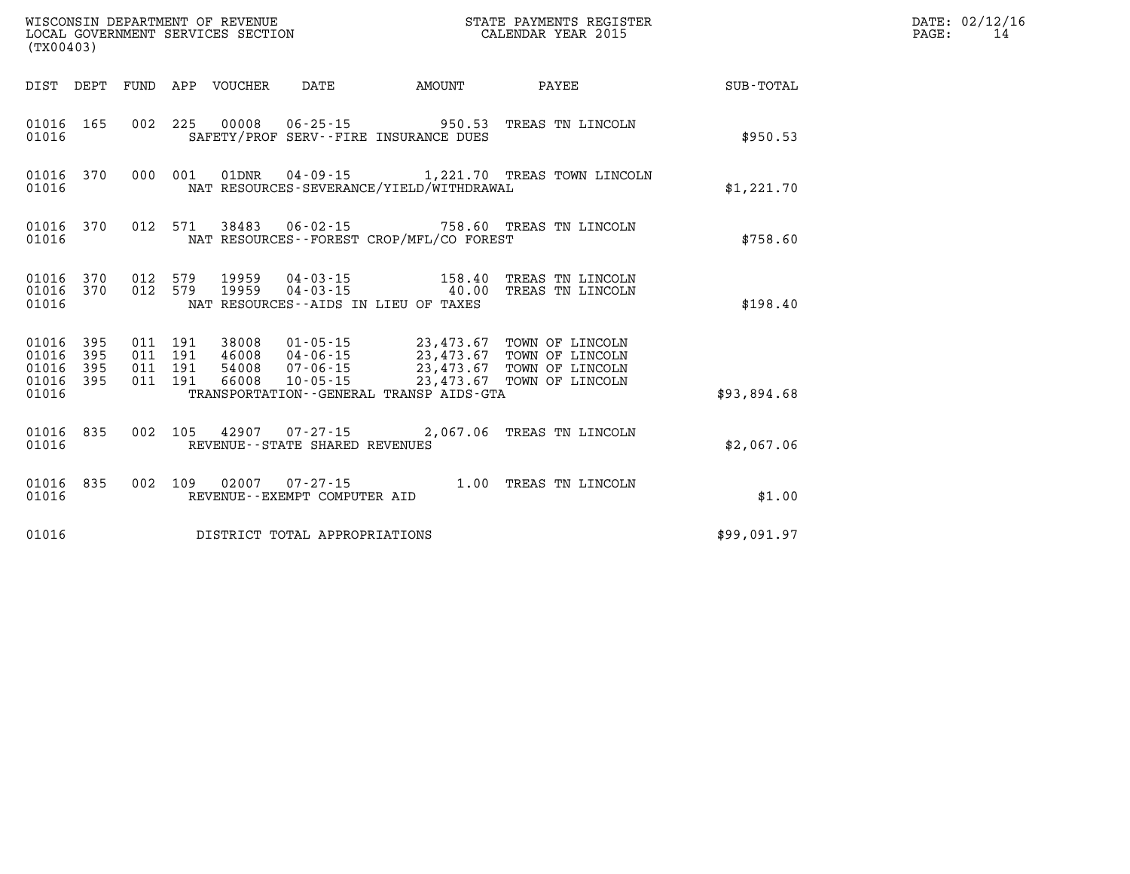| (TX00403)                                 | STATE PAYMENTS REGISTER<br>WISCONSIN DEPARTMENT OF REVENUE<br>LOCAL GOVERNMENT SERVICES SECTION<br>CALENDAR YEAR 2015 |                          |                          |                                  |                                                                |                                                                                             |                                                                          |                  |
|-------------------------------------------|-----------------------------------------------------------------------------------------------------------------------|--------------------------|--------------------------|----------------------------------|----------------------------------------------------------------|---------------------------------------------------------------------------------------------|--------------------------------------------------------------------------|------------------|
| DIST                                      | DEPT                                                                                                                  | FUND                     | APP                      | VOUCHER                          | <b>DATE</b>                                                    | AMOUNT                                                                                      | PAYEE                                                                    | <b>SUB-TOTAL</b> |
| 01016<br>01016                            | 165                                                                                                                   | 002                      | 225                      | 00008                            | $06 - 25 - 15$                                                 | 950.53<br>SAFETY/PROF SERV--FIRE INSURANCE DUES                                             | TREAS TN LINCOLN                                                         | \$950.53         |
| 01016<br>01016                            | 370                                                                                                                   | 000                      | 001                      | 01DNR                            |                                                                | NAT RESOURCES-SEVERANCE/YIELD/WITHDRAWAL                                                    | 04-09-15 1,221.70 TREAS TOWN LINCOLN                                     | \$1,221.70       |
| 01016<br>01016                            | 370                                                                                                                   | 012                      | 571                      | 38483                            |                                                                | NAT RESOURCES - - FOREST CROP/MFL/CO FOREST                                                 | 06-02-15 758.60 TREAS TN LINCOLN                                         | \$758.60         |
| 01016<br>01016<br>01016                   | 370<br>370                                                                                                            | 012<br>012               | 579<br>579               | 19959<br>19959                   | NAT RESOURCES--AIDS IN LIEU OF TAXES                           | $04 - 03 - 15$<br>$04 - 03 - 15$<br>$40.00$                                                 | TREAS TN LINCOLN<br>TREAS TN LINCOLN                                     | \$198.40         |
| 01016<br>01016<br>01016<br>01016<br>01016 | 395<br>395<br>395<br>395                                                                                              | 011<br>011<br>011<br>011 | 191<br>191<br>191<br>191 | 38008<br>46008<br>54008<br>66008 | $01 - 05 - 15$<br>$04 - 06 - 15$<br>07-06-15<br>$10 - 05 - 15$ | 23,473.67<br>23,473.67<br>23,473.67<br>23,473.67<br>TRANSPORTATION--GENERAL TRANSP AIDS-GTA | TOWN OF LINCOLN<br>TOWN OF LINCOLN<br>TOWN OF LINCOLN<br>TOWN OF LINCOLN |                  |
|                                           |                                                                                                                       |                          |                          |                                  |                                                                |                                                                                             |                                                                          | \$93,894.68      |
| 01016<br>01016                            | 835                                                                                                                   | 002                      | 105                      |                                  | REVENUE - - STATE SHARED REVENUES                              |                                                                                             | 42907 07-27-15 2,067.06 TREAS TN LINCOLN                                 | \$2,067.06       |
| 01016<br>01016                            | 835                                                                                                                   | 002                      | 109                      | 02007                            | $07 - 27 - 15$<br>REVENUE--EXEMPT COMPUTER AID                 | 1.00                                                                                        | TREAS TN LINCOLN                                                         | \$1.00           |
| 01016                                     |                                                                                                                       |                          |                          |                                  | DISTRICT TOTAL APPROPRIATIONS                                  |                                                                                             |                                                                          | \$99,091.97      |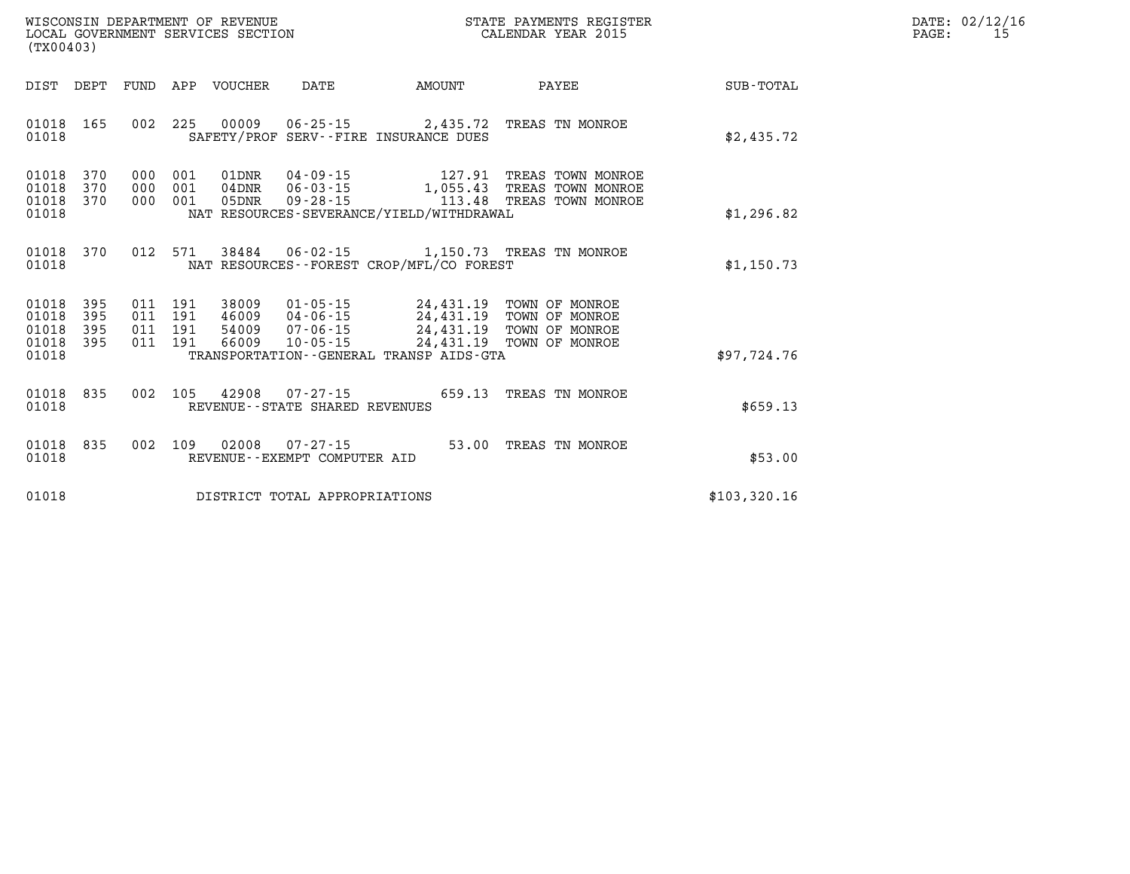| DATE: | 02/12/16 |
|-------|----------|
| PAGE: | 15       |

| (TX00403)                                                             |                          |                                                                                                                                                                                                                                                                                                             |                  |
|-----------------------------------------------------------------------|--------------------------|-------------------------------------------------------------------------------------------------------------------------------------------------------------------------------------------------------------------------------------------------------------------------------------------------------------|------------------|
| DIST<br>DEPT                                                          | FUND                     | AMOUNT<br>APP<br><b>VOUCHER</b><br><b>DATE</b><br>PAYEE                                                                                                                                                                                                                                                     | <b>SUB-TOTAL</b> |
| 165<br>01018<br>01018                                                 | 002                      | 225<br>00009<br>$06 - 25 - 15$<br>2,435.72<br>TREAS TN MONROE<br>SAFETY/PROF SERV--FIRE INSURANCE DUES                                                                                                                                                                                                      | \$2,435.72       |
| 01018<br>370<br>01018<br>370<br>370<br>01018<br>01018                 | 000<br>000<br>000        | 001<br>$04 - 09 - 15$<br>01DNR<br>127.91<br>TREAS TOWN MONROE<br>001<br>$04$ DNR<br>$06 - 03 - 15$<br>1,055.43<br>TREAS TOWN MONROE<br>001<br>05DNR<br>$09 - 28 - 15$<br>113.48<br>TREAS TOWN MONROE<br>NAT RESOURCES-SEVERANCE/YIELD/WITHDRAWAL                                                            | \$1,296.82       |
| 01018<br>370<br>01018                                                 | 012                      | 571<br>38484<br>$06 - 02 - 15$<br>1,150.73 TREAS TN MONROE<br>NAT RESOURCES--FOREST CROP/MFL/CO FOREST                                                                                                                                                                                                      | \$1,150.73       |
| 01018<br>395<br>01018<br>395<br>01018<br>395<br>01018<br>395<br>01018 | 011<br>011<br>011<br>011 | $01 - 05 - 15$<br>24,431.19<br>191<br>38009<br>TOWN OF MONROE<br>191<br>46009<br>$04 - 06 - 15$<br>24,431.19<br>TOWN OF MONROE<br>191<br>24,431.19<br>54009<br>$07 - 06 - 15$<br>TOWN OF MONROE<br>191<br>66009<br>$10 - 05 - 15$<br>24,431.19<br>TOWN OF MONROE<br>TRANSPORTATION--GENERAL TRANSP AIDS-GTA | \$97,724.76      |
| 01018<br>835<br>01018                                                 | 002                      | 105<br>42908<br>$07 - 27 - 15$<br>659.13<br>TREAS TN MONROE<br>REVENUE - - STATE SHARED REVENUES                                                                                                                                                                                                            | \$659.13         |
| 835<br>01018<br>01018                                                 | 002                      | 109<br>02008<br>53.00<br>$07 - 27 - 15$<br>TREAS TN MONROE<br>REVENUE - - EXEMPT COMPUTER AID                                                                                                                                                                                                               | \$53.00          |
| 01018                                                                 |                          | DISTRICT TOTAL APPROPRIATIONS                                                                                                                                                                                                                                                                               | \$103,320.16     |

WISCONSIN DEPARTMENT OF REVENUE **STATE PAYMENTS REGISTER**<br>LOCAL GOVERNMENT SERVICES SECTION

LOCAL GOVERNMENT SERVICES SECTION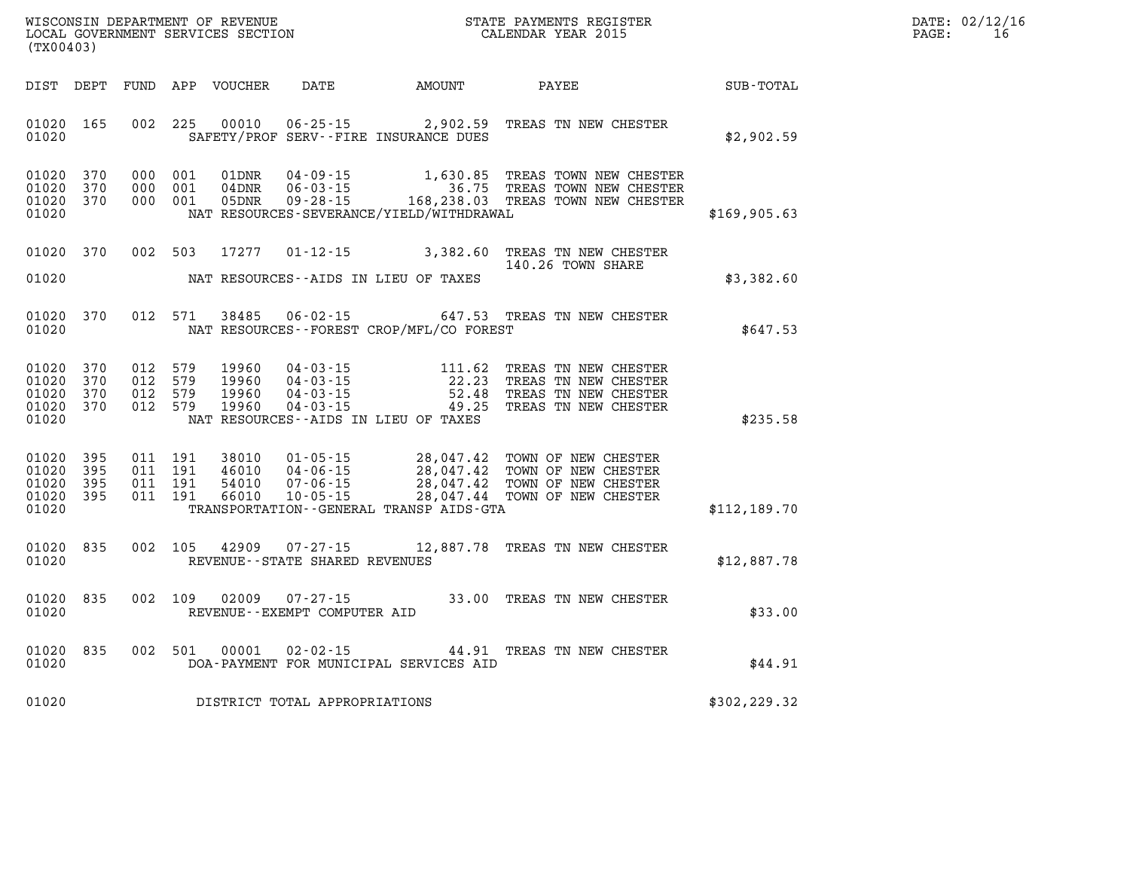| DATE:             | 02/12/16 |
|-------------------|----------|
| $\mathtt{PAGE}$ : | 16       |

| WISCONSIN DEPARTMENT OF REVENUE<br>LOCAL GOVERNMENT SERVICES SECTION<br>(TX00403)                              |                                                                             | STATE PAYMENTS REGIST<br>CALENDAR YEAR 2015<br>STATE PAYMENTS REGISTER                                                                                               | $\mathbb{R}^n$ | DATE: 02/12/1<br>$\mathtt{PAGE}$ :<br>16 |
|----------------------------------------------------------------------------------------------------------------|-----------------------------------------------------------------------------|----------------------------------------------------------------------------------------------------------------------------------------------------------------------|----------------|------------------------------------------|
|                                                                                                                | DIST DEPT FUND APP VOUCHER DATE AMOUNT PAYEE                                |                                                                                                                                                                      | SUB-TOTAL      |                                          |
| 01020 165<br>01020                                                                                             | 002 225 00010<br>SAFETY/PROF SERV--FIRE INSURANCE DUES                      | 06-25-15 2,902.59 TREAS TN NEW CHESTER                                                                                                                               | \$2,902.59     |                                          |
| 01020 370<br>000 001<br>01020<br>370<br>000 001<br>01020 370<br>000 001<br>01020                               | 01DNR<br>04DNR<br>05DNR<br>NAT RESOURCES-SEVERANCE/YIELD/WITHDRAWAL         | 04-09-15 1,630.85 TREAS TOWN NEW CHESTER<br>06-03-15 36.75 TREAS TOWN NEW CHESTER<br>09-28-15 168,238.03 TREAS TOWN NEW CHESTER                                      | \$169,905.63   |                                          |
| 01020 370<br>002 503<br>01020                                                                                  | 17277<br>NAT RESOURCES--AIDS IN LIEU OF TAXES                               | 01-12-15 3,382.60 TREAS TN NEW CHESTER<br>140.26 TOWN SHARE                                                                                                          | \$3,382.60     |                                          |
| 01020 370<br>012 571<br>01020                                                                                  | 38485<br>NAT RESOURCES--FOREST CROP/MFL/CO FOREST                           | 06-02-15 647.53 TREAS TN NEW CHESTER                                                                                                                                 | \$647.53       |                                          |
| 01020 370<br>012 579<br>01020<br>370<br>012 579<br>01020<br>012 579<br>370<br>012 579<br>01020 370<br>01020    | 19960<br>19960<br>19960<br>19960<br>NAT RESOURCES--AIDS IN LIEU OF TAXES    |                                                                                                                                                                      | \$235.58       |                                          |
| 01020 395<br>011 191<br>01020<br>395<br>011 191<br>01020<br>011 191<br>395<br>01020<br>395<br>011 191<br>01020 | 38010<br>46010<br>54010<br>66010<br>TRANSPORTATION--GENERAL TRANSP AIDS-GTA | 01-05-15 28,047.42 TOWN OF NEW CHESTER<br>04-06-15 28,047.42 TOWN OF NEW CHESTER<br>07-06-15 28,047.42 TOWN OF NEW CHESTER<br>10-05-15 28,047.44 TOWN OF NEW CHESTER | \$112,189.70   |                                          |
| 01020 835<br>002 105<br>01020                                                                                  | 42909<br>REVENUE--STATE SHARED REVENUES                                     | 07-27-15 12,887.78 TREAS TN NEW CHESTER                                                                                                                              | \$12,887.78    |                                          |
| 01020 835<br>01020                                                                                             | 002 109 02009<br>REVENUE--EXEMPT COMPUTER AID                               | 07-27-15 33.00 TREAS TN NEW CHESTER                                                                                                                                  | \$33.00        |                                          |
| 01020 835<br>002 501<br>01020                                                                                  | 00001<br>DOA-PAYMENT FOR MUNICIPAL SERVICES AID                             | 02-02-15 44.91 TREAS TN NEW CHESTER                                                                                                                                  | \$44.91        |                                          |
| 01020                                                                                                          | DISTRICT TOTAL APPROPRIATIONS                                               |                                                                                                                                                                      | \$302,229.32   |                                          |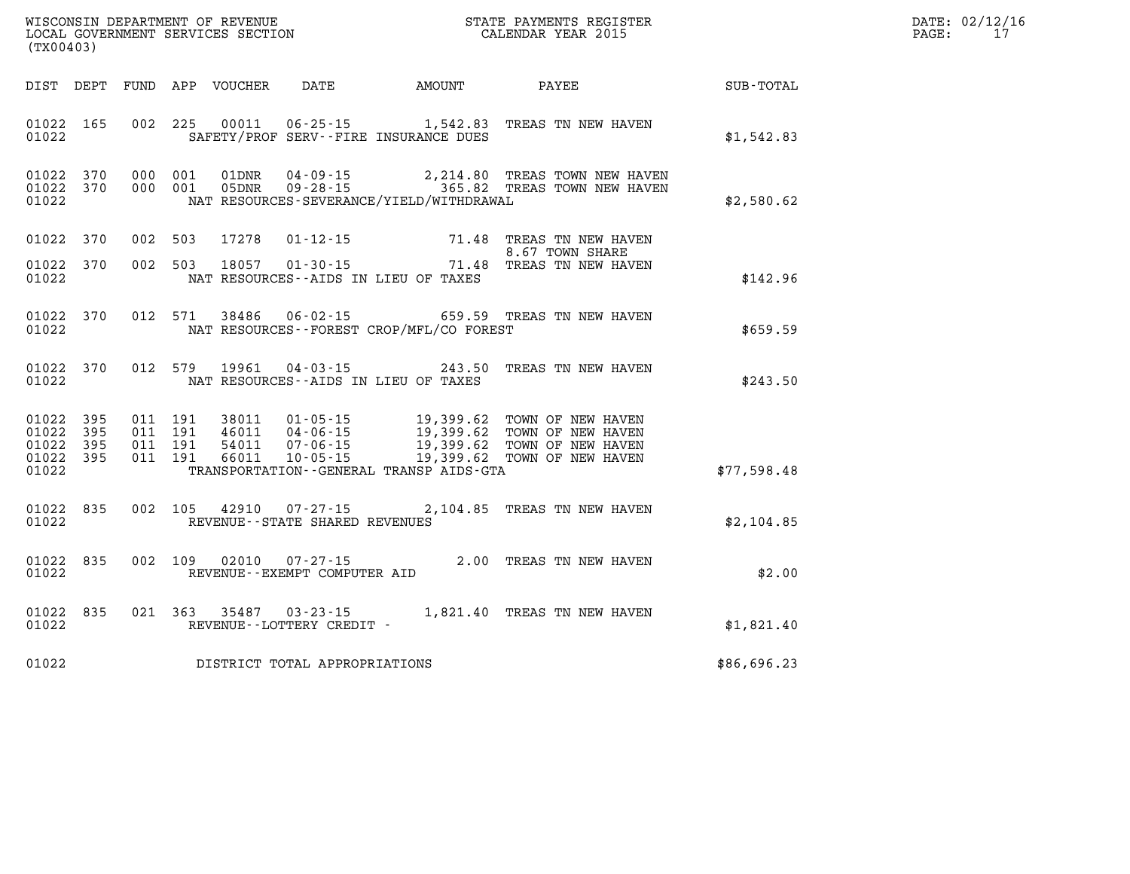| ' OF REVENUE<br>WISCONSIN DEPARTMENT | PAYMENTS REGISTER<br>3TATE | DATE | 0.00110117<br>UZ/1Z/1 |
|--------------------------------------|----------------------------|------|-----------------------|
| LOCAL<br>GOVERNMENT SERVICES SECTION | CALENDAR YEAR 2015         | PAGE |                       |

| (TX00403)                                         |            |                                          | LOCAL GOVERNMENT SERVICES SECTION |                                                |                                              | CALENDAR YEAR 2015                                                                                                                                                                                                                                           |             | PAGE: | 17 |
|---------------------------------------------------|------------|------------------------------------------|-----------------------------------|------------------------------------------------|----------------------------------------------|--------------------------------------------------------------------------------------------------------------------------------------------------------------------------------------------------------------------------------------------------------------|-------------|-------|----|
| DIST DEPT                                         |            |                                          |                                   |                                                |                                              |                                                                                                                                                                                                                                                              | SUB-TOTAL   |       |    |
| 01022 165<br>01022                                |            | 002 225                                  |                                   |                                                | SAFETY/PROF SERV--FIRE INSURANCE DUES        | 00011  06-25-15  1,542.83  TREAS  TN NEW HAVEN                                                                                                                                                                                                               | \$1,542.83  |       |    |
| 01022 370<br>01022 370<br>01022                   |            | 000 001<br>000 001                       |                                   |                                                | NAT RESOURCES-SEVERANCE/YIELD/WITHDRAWAL     | $\begin{array}{cccc} \texttt{01DNR} & \texttt{04-09-15} & \texttt{2,214.80} & \texttt{TREAS} & \texttt{TOWN} & \texttt{NEW HAVEN} \\ \texttt{05DNR} & \texttt{09-28-15} & \texttt{365.82} & \texttt{TREAS} & \texttt{TOWN} & \texttt{NEW HAVEN} \end{array}$ | \$2,580.62  |       |    |
| 01022                                             | 370        | 002 503                                  | 17278                             | $01 - 12 - 15$                                 |                                              | 71.48 TREAS TN NEW HAVEN<br>8.67 TOWN SHARE                                                                                                                                                                                                                  |             |       |    |
| 01022<br>01022                                    | 370        | 002 503                                  |                                   | 18057 01-30-15                                 | NAT RESOURCES--AIDS IN LIEU OF TAXES         | 71.48 TREAS TN NEW HAVEN                                                                                                                                                                                                                                     | \$142.96    |       |    |
| 01022<br>01022                                    | 370        | 012 571                                  | 38486                             |                                                | NAT RESOURCES - - FOREST CROP/MFL/CO FOREST  | 06-02-15 659.59 TREAS TN NEW HAVEN                                                                                                                                                                                                                           | \$659.59    |       |    |
| 01022 370<br>01022                                |            | 012 579                                  | 19961                             |                                                | NAT RESOURCES--AIDS IN LIEU OF TAXES         | 04-03-15 243.50 TREAS TN NEW HAVEN                                                                                                                                                                                                                           | \$243.50    |       |    |
| 01022 395<br>01022<br>01022<br>01022 395<br>01022 | 395<br>395 | 011 191<br>011 191<br>011 191<br>011 191 |                                   |                                                | TRANSPORTATION - - GENERAL TRANSP AIDS - GTA |                                                                                                                                                                                                                                                              | \$77,598.48 |       |    |
| 01022<br>01022                                    | 835        | 002 105                                  | 42910                             | REVENUE - - STATE SHARED REVENUES              |                                              | 07-27-15 2,104.85 TREAS TN NEW HAVEN                                                                                                                                                                                                                         | \$2,104.85  |       |    |
| 01022<br>01022                                    | 835        | 002 109                                  | 02010                             | $07 - 27 - 15$<br>REVENUE--EXEMPT COMPUTER AID |                                              | 2.00 TREAS TN NEW HAVEN                                                                                                                                                                                                                                      | \$2.00      |       |    |
| 01022<br>01022                                    | 835        |                                          |                                   | REVENUE - - LOTTERY CREDIT -                   |                                              | 021 363 35487 03-23-15 1,821.40 TREAS TN NEW HAVEN                                                                                                                                                                                                           | \$1,821.40  |       |    |
| 01022                                             |            |                                          |                                   | DISTRICT TOTAL APPROPRIATIONS                  |                                              |                                                                                                                                                                                                                                                              | \$86,696.23 |       |    |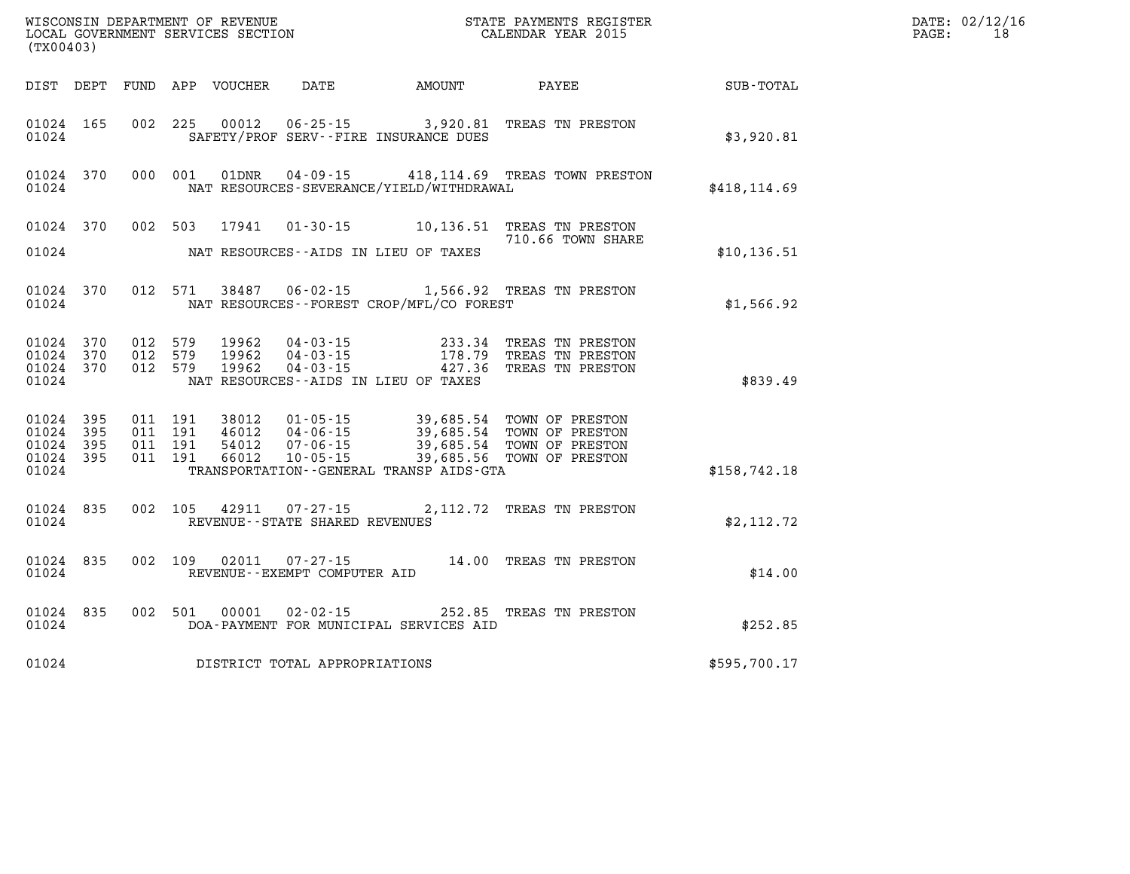| WISCONSIN DEPARTMENT OF REVENUE<br>LOCAL GOVERNMENT SERVICES SECTION<br>(TX00403) |                        |                               |         | STATE PAYMENTS REGISTER<br>CALENDAR YEAR 2015 |                                                          |                                                                          | DATE: 02/12/16<br>PAGE:<br>18                                                                                                                                                            |              |  |
|-----------------------------------------------------------------------------------|------------------------|-------------------------------|---------|-----------------------------------------------|----------------------------------------------------------|--------------------------------------------------------------------------|------------------------------------------------------------------------------------------------------------------------------------------------------------------------------------------|--------------|--|
|                                                                                   |                        |                               |         |                                               |                                                          | DIST DEPT FUND APP VOUCHER DATE AMOUNT                                   | PAYEE                                                                                                                                                                                    | SUB-TOTAL    |  |
| 01024 165<br>01024                                                                |                        |                               |         |                                               |                                                          | 002 225 00012 06-25-15 3,920.81<br>SAFETY/PROF SERV--FIRE INSURANCE DUES | TREAS TN PRESTON                                                                                                                                                                         | \$3,920.81   |  |
| 01024                                                                             | 01024 370              |                               |         |                                               |                                                          | NAT RESOURCES-SEVERANCE/YIELD/WITHDRAWAL                                 | 000 001 01DNR 04-09-15 418,114.69 TREAS TOWN PRESTON                                                                                                                                     | \$418,114.69 |  |
|                                                                                   | 01024 370              |                               |         |                                               |                                                          |                                                                          | 002 503 17941 01-30-15 10,136.51 TREAS TN PRESTON                                                                                                                                        |              |  |
| 01024                                                                             |                        |                               |         |                                               |                                                          | NAT RESOURCES--AIDS IN LIEU OF TAXES                                     | 710.66 TOWN SHARE                                                                                                                                                                        | \$10, 136.51 |  |
| 01024                                                                             | 01024 370              |                               |         |                                               |                                                          | NAT RESOURCES - - FOREST CROP/MFL/CO FOREST                              | 012 571 38487 06-02-15 1,566.92 TREAS TN PRESTON                                                                                                                                         | \$1,566.92   |  |
| 01024 370<br>01024                                                                | 01024 370<br>01024 370 | 012 579<br>012 579<br>012 579 |         | 19962                                         |                                                          | NAT RESOURCES--AIDS IN LIEU OF TAXES                                     | 19962  04-03-15  233.34 TREAS TN PRESTON<br>19962  04-03-15  178.79 TREAS TN PRESTON<br>19962  04-03-15  427.36 TREAS TN PRESTON                                                         | \$839.49     |  |
| 01024 395<br>01024 395<br>01024 395<br>01024 395<br>01024                         |                        | 011 191<br>011 191<br>011 191 | 011 191 |                                               |                                                          | TRANSPORTATION--GENERAL TRANSP AIDS-GTA                                  | 38012  01-05-15  39,685.54  TOWN OF PRESTON<br>46012  04-06-15  39,685.54  TOWN OF PRESTON<br>54012  07-06-15  39,685.54  TOWN OF PRESTON<br>66012  10-05-15  39,685.56  TOWN OF PRESTON | \$158,742.18 |  |
| 01024                                                                             | 01024 835              |                               |         |                                               | 002 105 42911 07-27-15<br>REVENUE--STATE SHARED REVENUES |                                                                          | 2,112.72 TREAS TN PRESTON                                                                                                                                                                | \$2,112.72   |  |
| 01024                                                                             | 01024 835              |                               |         |                                               | 002 109 02011 07-27-15<br>REVENUE--EXEMPT COMPUTER AID   |                                                                          | 14.00 TREAS TN PRESTON                                                                                                                                                                   | \$14.00      |  |
| 01024                                                                             | 01024 835              |                               |         | 002 501 00001                                 |                                                          | DOA-PAYMENT FOR MUNICIPAL SERVICES AID                                   | 02-02-15 252.85 TREAS TN PRESTON                                                                                                                                                         | \$252.85     |  |
| 01024                                                                             |                        |                               |         |                                               | DISTRICT TOTAL APPROPRIATIONS                            |                                                                          |                                                                                                                                                                                          | \$595,700.17 |  |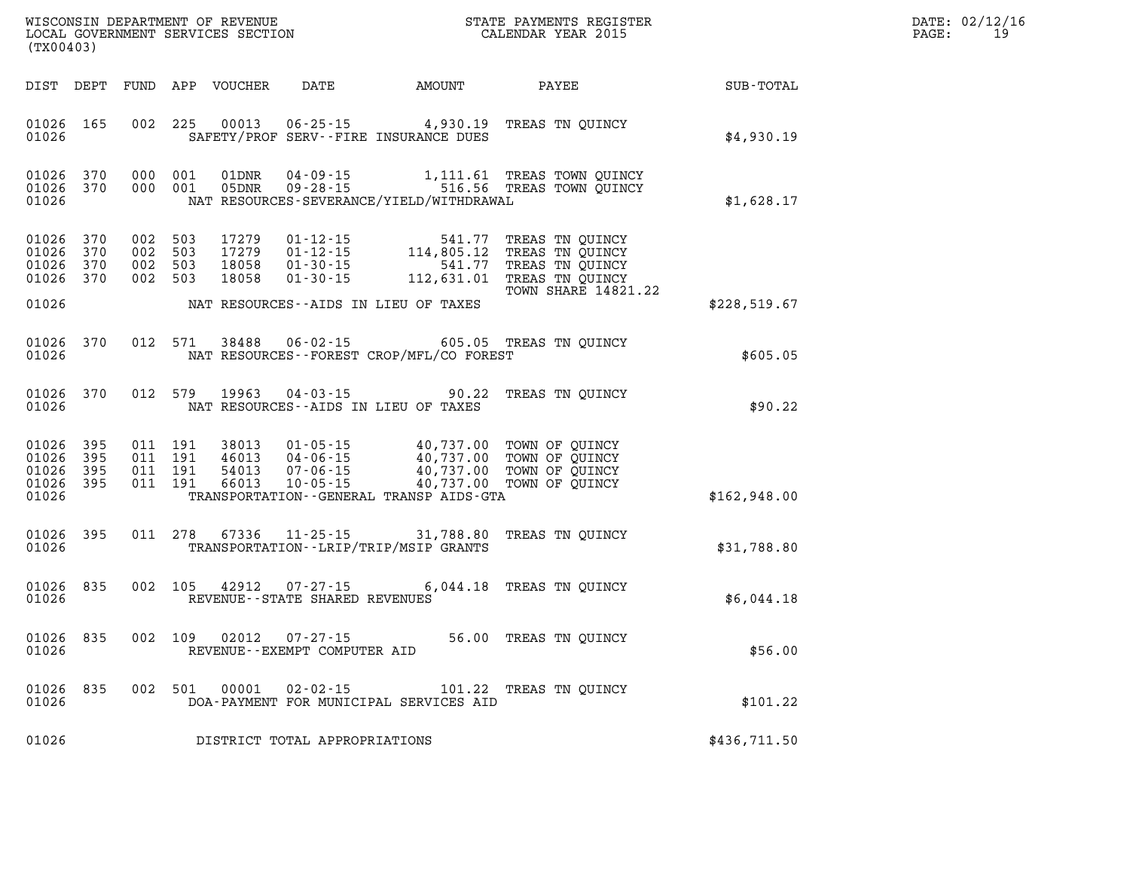| DATE: | 02/12/16 |
|-------|----------|
| PAGE: | 19       |

| WISCONSIN DEPARTMENT OF REVENUE<br>LOCAL GOVERNMENT SERVICES SECTION<br>(TX00403) |                            |  |                                          | STATE PAYMENTS REGISTER<br>CALENDAR YEAR 2015 |                                                                | DATE: 02/12/1<br>$\mathtt{PAGE}$ :<br>19                                                                     |                                                                                                                          |              |  |
|-----------------------------------------------------------------------------------|----------------------------|--|------------------------------------------|-----------------------------------------------|----------------------------------------------------------------|--------------------------------------------------------------------------------------------------------------|--------------------------------------------------------------------------------------------------------------------------|--------------|--|
| DIST DEPT                                                                         |                            |  |                                          | FUND APP VOUCHER                              |                                                                | DATE AMOUNT PAYEE                                                                                            |                                                                                                                          | SUB-TOTAL    |  |
| 01026 165<br>01026                                                                |                            |  | 002 225                                  | 00013                                         |                                                                | $06 - 25 - 15$ 4,930.19<br>SAFETY/PROF SERV--FIRE INSURANCE DUES                                             | TREAS TN OUINCY                                                                                                          | \$4,930.19   |  |
| 01026<br>01026<br>01026                                                           | 370<br>370                 |  | 000 001<br>000 001                       | 01DNR<br>05DNR                                | 04 - 09 - 15<br>$09 - 28 - 15$                                 | NAT RESOURCES-SEVERANCE/YIELD/WITHDRAWAL                                                                     | 1,111.61 TREAS TOWN QUINCY<br>516.56 TREAS TOWN QUINCY                                                                   | \$1,628.17   |  |
| 01026<br>01026<br>01026<br>01026 370<br>01026                                     | 370<br>370<br>370          |  | 002 503<br>002 503<br>002 503<br>002 503 | 17279<br>17279<br>18058<br>18058              | $01 - 30 - 15$                                                 | 01-12-15<br>01-12-15<br>01-30-15<br>01-30-15<br>112-631.01<br>541.77<br>NAT RESOURCES--AIDS IN LIEU OF TAXES | TREAS TN QUINCY<br>TREAS TN QUINCY<br>541.77 TREAS TN QUINCY<br>112,631.01 TREAS TN QUINCY<br><b>TOWN SHARE 14821.22</b> | \$228,519.67 |  |
| 01026 370<br>01026                                                                |                            |  | 012 571                                  | 38488                                         | 06-02-15                                                       | NAT RESOURCES--FOREST CROP/MFL/CO FOREST                                                                     | 605.05 TREAS TN OUINCY                                                                                                   | \$605.05     |  |
| 01026<br>01026                                                                    | 370                        |  | 012 579                                  | 19963                                         |                                                                | $04 - 03 - 15$ 90.22<br>NAT RESOURCES--AIDS IN LIEU OF TAXES                                                 | TREAS TN OUINCY                                                                                                          | \$90.22      |  |
| 01026<br>01026<br>01026<br>01026<br>01026                                         | 395<br>395<br>395<br>- 395 |  | 011 191<br>011 191<br>011 191<br>011 191 | 38013<br>46013<br>54013<br>66013              | 01-05-15<br>$04 - 06 - 15$<br>$07 - 06 - 15$<br>$10 - 05 - 15$ | 40,737.00 TOWN OF QUINCY<br>40,737.00<br>TRANSPORTATION--GENERAL TRANSP AIDS-GTA                             | 40,737.00 TOWN OF QUINCY<br>TOWN OF QUINCY<br>40,737.00 TOWN OF QUINCY                                                   | \$162,948.00 |  |
| 01026<br>01026                                                                    | 395                        |  | 011 278                                  | 67336                                         | $11 - 25 - 15$                                                 | 31,788.80<br>TRANSPORTATION - - LRIP/TRIP/MSIP GRANTS                                                        | TREAS TN QUINCY                                                                                                          | \$31,788.80  |  |
| 01026<br>01026                                                                    | 835                        |  | 002 105                                  | 42912                                         | $07 - 27 - 15$<br>REVENUE - - STATE SHARED REVENUES            |                                                                                                              | 6,044.18 TREAS TN OUINCY                                                                                                 | \$6,044.18   |  |
| 01026<br>01026                                                                    | 835                        |  | 002 109                                  | 02012                                         | $07 - 27 - 15$<br>REVENUE--EXEMPT COMPUTER AID                 |                                                                                                              | 56.00 TREAS TN OUINCY                                                                                                    | \$56.00      |  |
| 01026 835<br>01026                                                                |                            |  | 002 501                                  | 00001                                         | $02 - 02 - 15$                                                 | DOA-PAYMENT FOR MUNICIPAL SERVICES AID                                                                       | 101.22 TREAS TN QUINCY                                                                                                   | \$101.22     |  |
| 01026                                                                             |                            |  |                                          |                                               | DISTRICT TOTAL APPROPRIATIONS                                  |                                                                                                              |                                                                                                                          | \$436,711.50 |  |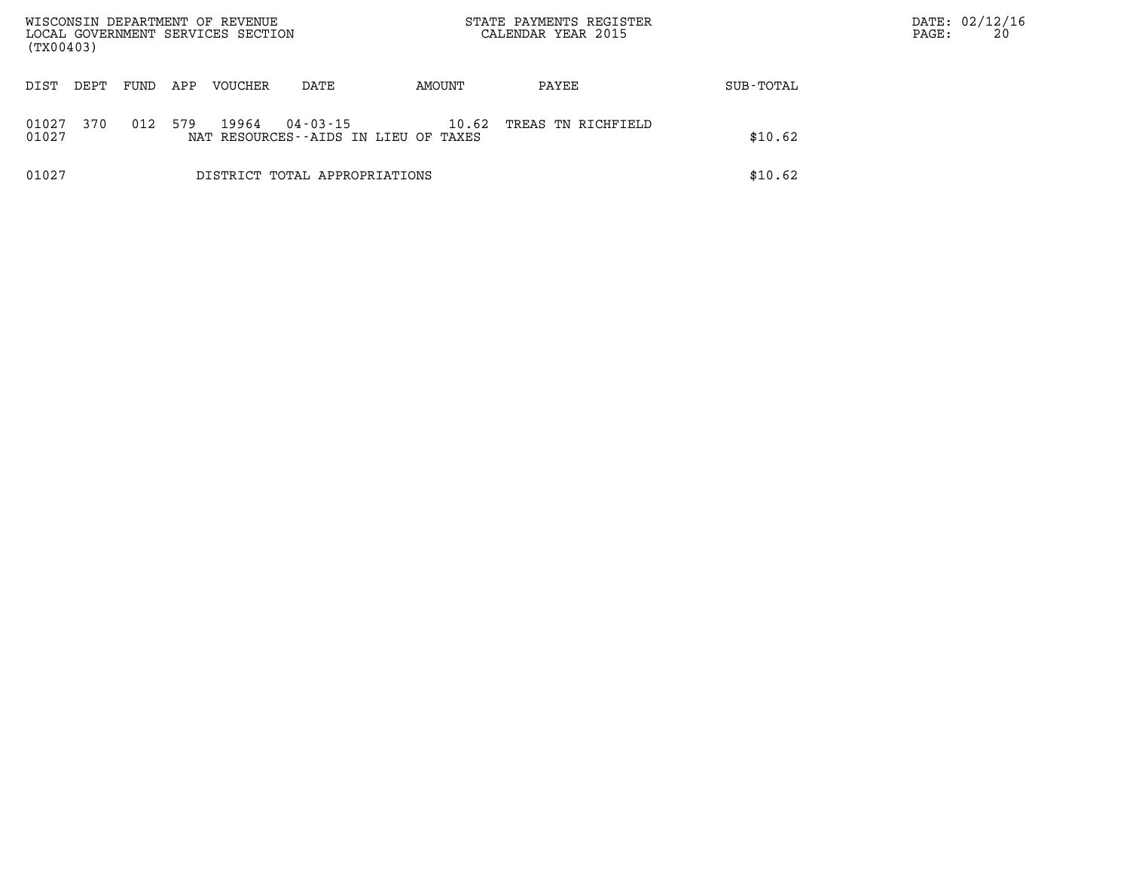| WISCONSIN DEPARTMENT OF REVENUE<br>LOCAL GOVERNMENT SERVICES SECTION<br>(TX00403) |      |      | STATE PAYMENTS REGISTER<br>CALENDAR YEAR 2015 |         |                               | DATE: 02/12/16<br>20<br>PAGE:                 |                    |           |  |
|-----------------------------------------------------------------------------------|------|------|-----------------------------------------------|---------|-------------------------------|-----------------------------------------------|--------------------|-----------|--|
| DIST                                                                              | DEPT | FUND | APP                                           | VOUCHER | DATE                          | AMOUNT                                        | PAYEE              | SUB-TOTAL |  |
| 01027<br>01027                                                                    | 370  | 012  | 579                                           | 19964   | 04 - 03 - 15                  | 10.62<br>NAT RESOURCES--AIDS IN LIEU OF TAXES | TREAS TN RICHFIELD | \$10.62   |  |
| 01027                                                                             |      |      |                                               |         | DISTRICT TOTAL APPROPRIATIONS |                                               |                    | \$10.62   |  |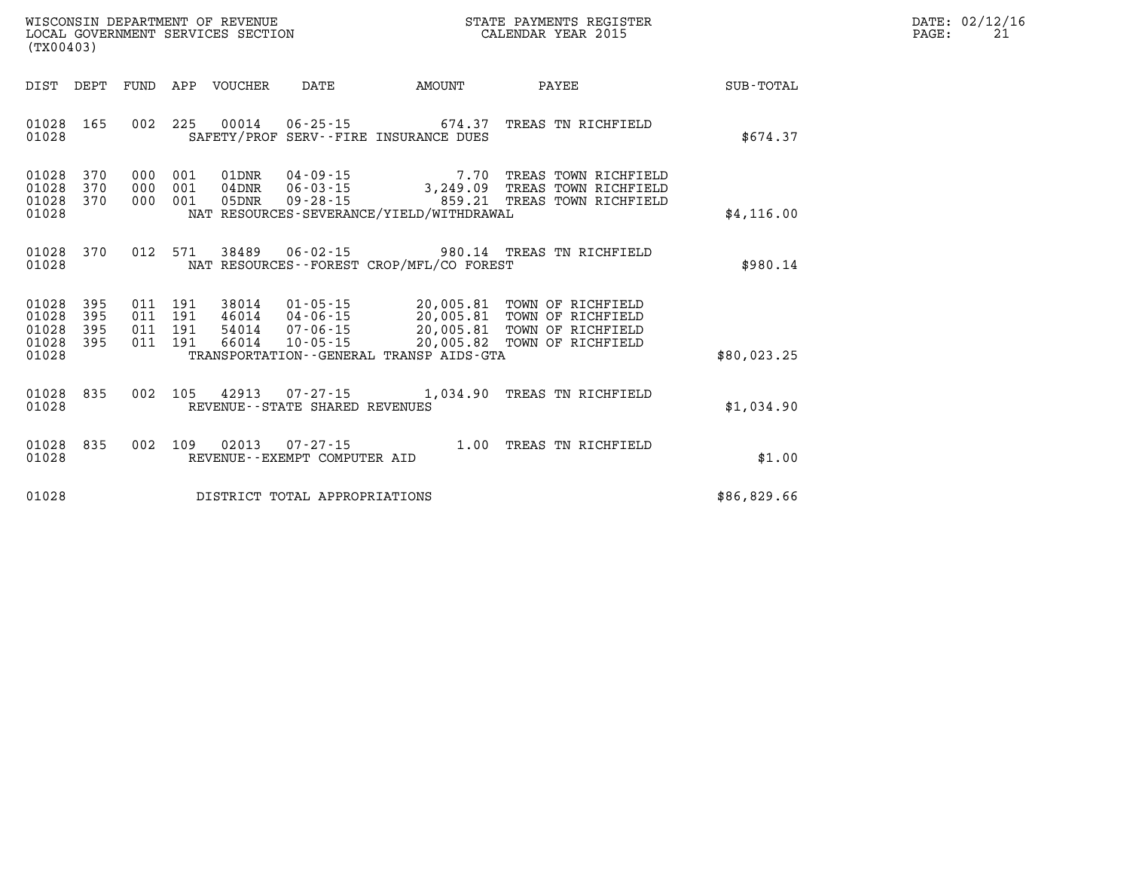|       | DATE: 02/12/16 |
|-------|----------------|
| PAGE: | 2.1            |

| WISCONSIN DEPARTMENT OF REVENUE<br>LOCAL GOVERNMENT SERVICES SECTION<br>(TX00403)                 |                                                                                                                                                                                 |                                     | STATE PAYMENTS REGISTER<br>CALENDAR YEAR 2015                                              |                  |
|---------------------------------------------------------------------------------------------------|---------------------------------------------------------------------------------------------------------------------------------------------------------------------------------|-------------------------------------|--------------------------------------------------------------------------------------------|------------------|
| DIST<br>DEPT<br><b>FUND</b>                                                                       | APP<br>VOUCHER<br>DATE                                                                                                                                                          | AMOUNT                              | PAYEE                                                                                      | <b>SUB-TOTAL</b> |
| 165<br>002<br>01028<br>01028                                                                      | 225<br>00014<br>$06 - 25 - 15$<br>SAFETY/PROF SERV--FIRE INSURANCE DUES                                                                                                         | 674.37                              | TREAS TN RICHFIELD                                                                         | \$674.37         |
| 01028<br>370<br>000<br>01028<br>370<br>000<br>000<br>01028<br>370<br>01028                        | $04 - 09 - 15$<br>001<br>01DNR<br>001<br>$04$ DNR<br>001<br>$09 - 28 - 15$<br>05DNR<br>NAT RESOURCES-SEVERANCE/YIELD/WITHDRAWAL                                                 | 7.70<br>859.21                      | TREAS TOWN RICHFIELD<br>06-03-15 3,249.09 TREAS TOWN RICHFIELD<br>TREAS TOWN RICHFIELD     | \$4,116.00       |
| 012<br>01028<br>370<br>01028                                                                      | 571<br>$06 - 02 - 15$<br>38489<br>NAT RESOURCES - - FOREST CROP/MFL/CO FOREST                                                                                                   |                                     | 980.14 TREAS TN RICHFIELD                                                                  | \$980.14         |
| 01028<br>395<br>011<br>01028<br>395<br>011<br>01028<br>395<br>011<br>01028<br>395<br>011<br>01028 | $01 - 05 - 15$<br>191<br>38014<br>191<br>46014<br>$04 - 06 - 15$<br>191<br>$07 - 06 - 15$<br>54014<br>191<br>66014<br>$10 - 05 - 15$<br>TRANSPORTATION--GENERAL TRANSP AIDS-GTA | 20,005.81<br>20,005.81<br>20,005.82 | TOWN OF RICHFIELD<br>TOWN OF RICHFIELD<br>20,005.81 TOWN OF RICHFIELD<br>TOWN OF RICHFIELD | \$80,023.25      |
| 01028<br>835<br>002<br>01028                                                                      | 105<br>42913<br>$07 - 27 - 15$<br>REVENUE - - STATE SHARED REVENUES                                                                                                             | 1,034.90                            | TREAS TN RICHFIELD                                                                         | \$1,034.90       |
| 835<br>002<br>01028<br>01028                                                                      | 109<br>02013<br>$07 - 27 - 15$<br>REVENUE--EXEMPT COMPUTER AID                                                                                                                  | 1.00                                | TREAS TN RICHFIELD                                                                         | \$1.00           |
| 01028                                                                                             | DISTRICT TOTAL APPROPRIATIONS                                                                                                                                                   |                                     |                                                                                            | \$86,829.66      |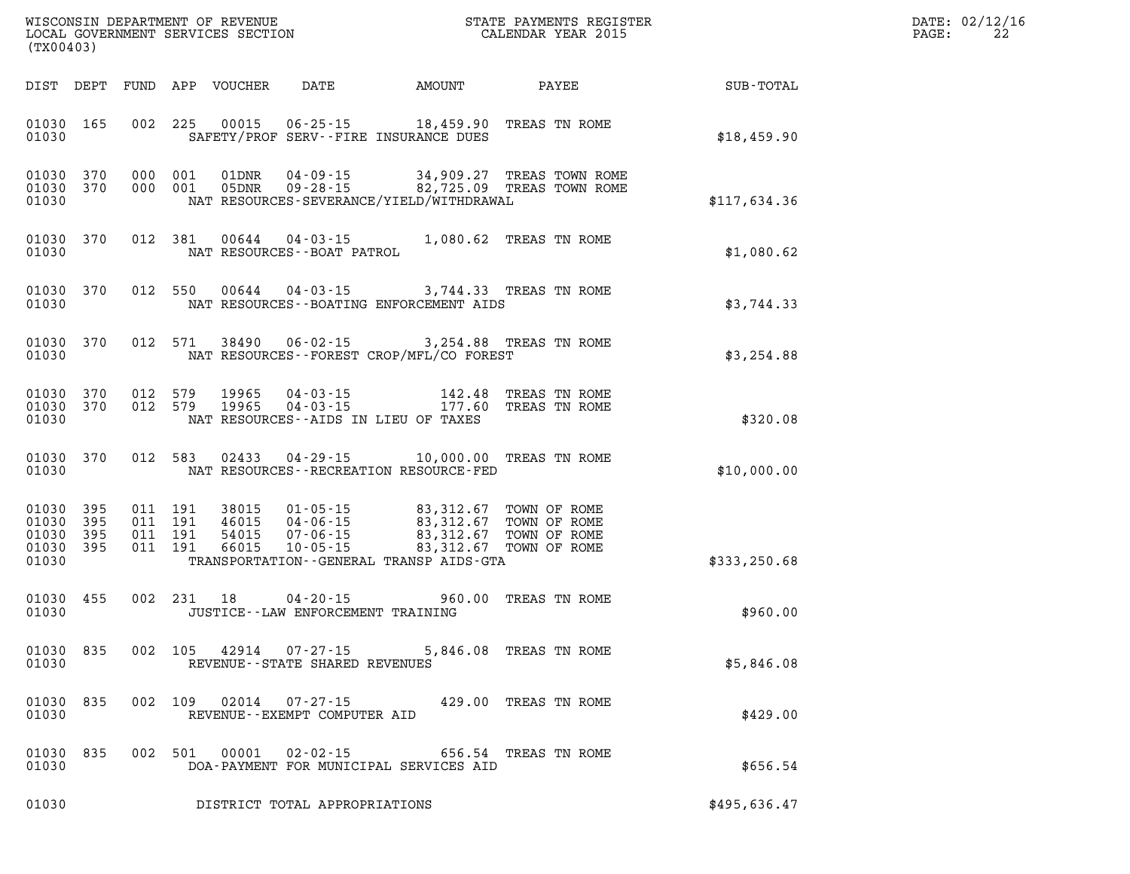| DATE: | 02/12/16 |
|-------|----------|
| PAGE: | 22       |

| WISCONSIN DEPARTMENT OF REVENUE<br>LOCAL GOVERNMENT SERVICES SECTION<br>LOCAL GOVERNMENT SERVICES SECTION<br>CALENDAR YEAR 2015<br>(TX00403) |           |  |  |               |                                     |                                                                                                                                    |                                                                                                                       |                                                        | DATE: 02/12/1<br>$\mathtt{PAGE}$ :<br>22 |
|----------------------------------------------------------------------------------------------------------------------------------------------|-----------|--|--|---------------|-------------------------------------|------------------------------------------------------------------------------------------------------------------------------------|-----------------------------------------------------------------------------------------------------------------------|--------------------------------------------------------|------------------------------------------|
|                                                                                                                                              |           |  |  |               |                                     |                                                                                                                                    |                                                                                                                       | DIST DEPT FUND APP VOUCHER DATE AMOUNT PAYEE SUB-TOTAL |                                          |
| 01030                                                                                                                                        | 01030 165 |  |  |               |                                     | 002 225 00015 06-25-15 18,459.90 TREAS TN ROME<br>SAFETY/PROF SERV--FIRE INSURANCE DUES                                            |                                                                                                                       | \$18,459.90                                            |                                          |
| 01030                                                                                                                                        |           |  |  |               |                                     | NAT RESOURCES-SEVERANCE/YIELD/WITHDRAWAL                                                                                           | 01030 370 000 001 01DNR 04-09-15 34,909.27 TREAS TOWN ROME 01030 370 000 001 05DNR 09-28-15 82,725.09 TREAS TOWN ROME | \$117,634.36                                           |                                          |
| 01030 370<br>01030                                                                                                                           |           |  |  |               |                                     | 012 381 00644 04-03-15 1,080.62 TREAS TN ROME NAT RESOURCES--BOAT PATROL                                                           |                                                                                                                       | \$1,080.62                                             |                                          |
| 01030                                                                                                                                        | 01030 370 |  |  |               |                                     | 012 550 00644 04-03-15 3,744.33 TREAS TN ROME<br>NAT RESOURCES - - BOATING ENFORCEMENT AIDS                                        |                                                                                                                       | \$3,744.33                                             |                                          |
| 01030                                                                                                                                        | 01030 370 |  |  |               |                                     | 012 571 38490 06-02-15 3,254.88 TREAS TN ROME<br>NAT RESOURCES -- FOREST CROP/MFL/CO FOREST                                        |                                                                                                                       | \$3,254.88                                             |                                          |
| 01030 370<br>01030                                                                                                                           | 01030 370 |  |  |               |                                     | 012 579 19965 04-03-15 142.48 TREAS TN ROME<br>012 579 19965 04-03-15 177.60 TREAS TN ROME<br>NAT RESOURCES--AIDS IN LIEU OF TAXES |                                                                                                                       | \$320.08                                               |                                          |
| 01030                                                                                                                                        |           |  |  |               |                                     | 01030 370 012 583 02433 04-29-15 10,000.00 TREAS TN ROME<br>NAT RESOURCES - - RECREATION RESOURCE - FED                            |                                                                                                                       | \$10,000.00                                            |                                          |
| 01030 395<br>01030<br>01030 395<br>01030 395<br>01030                                                                                        | 395       |  |  |               |                                     | TRANSPORTATION--GENERAL TRANSP AIDS-GTA                                                                                            |                                                                                                                       | \$333,250.68                                           |                                          |
| 01030 455<br>01030                                                                                                                           |           |  |  | 002 231 18    | JUSTICE -- LAW ENFORCEMENT TRAINING | 04-20-15 960.00 TREAS TN ROME                                                                                                      |                                                                                                                       | \$960.00                                               |                                          |
| 01030                                                                                                                                        |           |  |  |               | REVENUE--STATE SHARED REVENUES      | 01030 835 002 105 42914 07-27-15 5,846.08 TREAS TN ROME                                                                            |                                                                                                                       | \$5,846.08                                             |                                          |
| 01030 835<br>01030                                                                                                                           |           |  |  | 002 109 02014 | REVENUE--EXEMPT COMPUTER AID        | 07-27-15 429.00 TREAS TN ROME                                                                                                      |                                                                                                                       | \$429.00                                               |                                          |
| 01030 835<br>01030                                                                                                                           |           |  |  |               | 002 501 00001 02-02-15              | DOA-PAYMENT FOR MUNICIPAL SERVICES AID                                                                                             | 656.54 TREAS TN ROME                                                                                                  | \$656.54                                               |                                          |
| 01030                                                                                                                                        |           |  |  |               | DISTRICT TOTAL APPROPRIATIONS       |                                                                                                                                    |                                                                                                                       | \$495,636.47                                           |                                          |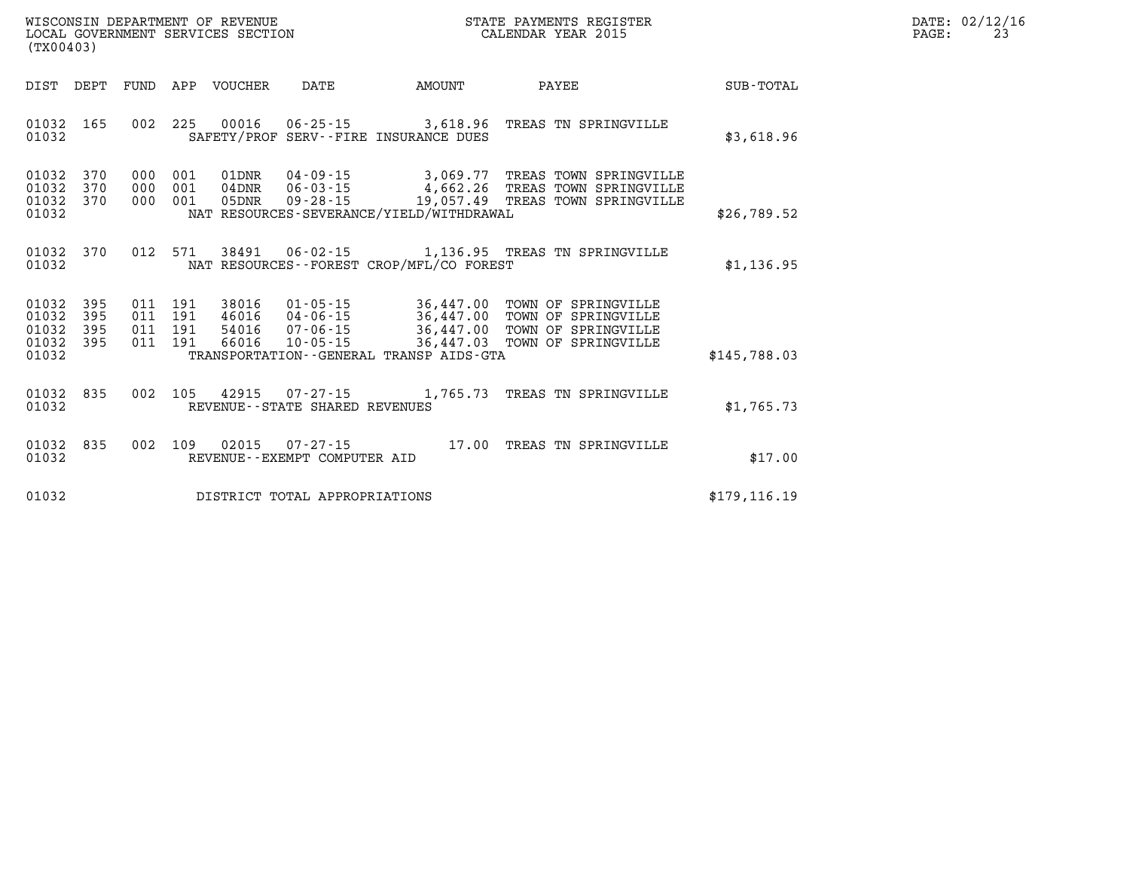| DATE: | 02/12/16 |
|-------|----------|
| PAGE: | 23       |

| WISCONSIN DEPARTMENT OF REVENUE<br>LOCAL GOVERNMENT SERVICES SECTION<br>(TX00403)                 |                                                                                                                                                                                      |                                                  | STATE PAYMENTS REGISTER<br>CALENDAR YEAR 2015                                            |                  |
|---------------------------------------------------------------------------------------------------|--------------------------------------------------------------------------------------------------------------------------------------------------------------------------------------|--------------------------------------------------|------------------------------------------------------------------------------------------|------------------|
| DIST<br>DEPT<br><b>FUND</b>                                                                       | APP<br><b>VOUCHER</b><br>DATE                                                                                                                                                        | AMOUNT                                           | PAYEE                                                                                    | <b>SUB-TOTAL</b> |
| 01032<br>165<br>002<br>01032                                                                      | 225<br>00016<br>$06 - 25 - 15$<br>SAFETY/PROF SERV--FIRE INSURANCE DUES                                                                                                              | 3,618.96                                         | TREAS TN SPRINGVILLE                                                                     | \$3,618.96       |
| 01032<br>370<br>000<br>01032<br>370<br>000<br>01032<br>370<br>000<br>01032                        | 01DNR<br>$04 - 09 - 15$<br>001<br>$06 - 03 - 15$<br>001<br>04DNR<br>$09 - 28 - 15$<br>001<br>05DNR<br>NAT RESOURCES-SEVERANCE/YIELD/WITHDRAWAL                                       | 3,069.77<br>19,057.49                            | TREAS TOWN SPRINGVILLE<br>4,662.26 TREAS TOWN SPRINGVILLE<br>TREAS TOWN SPRINGVILLE      | \$26,789.52      |
| 370<br>012<br>01032<br>01032                                                                      | 571<br>38491<br>$06 - 02 - 15$<br>NAT RESOURCES - - FOREST CROP/MFL/CO FOREST                                                                                                        | 1,136.95                                         | TREAS TN SPRINGVILLE                                                                     | \$1,136.95       |
| 01032<br>395<br>011<br>395<br>01032<br>011<br>395<br>01032<br>011<br>01032<br>395<br>011<br>01032 | 191<br>38016<br>$01 - 05 - 15$<br>191<br>$04 - 06 - 15$<br>46016<br>191<br>$07 - 06 - 15$<br>54016<br>191<br>$10 - 05 - 15$<br>66016<br>TRANSPORTATION - - GENERAL TRANSP AIDS - GTA | 36,447.00<br>36,447.00<br>36,447.00<br>36,447.03 | TOWN OF SPRINGVILLE<br>TOWN OF SPRINGVILLE<br>TOWN OF SPRINGVILLE<br>TOWN OF SPRINGVILLE | \$145,788.03     |
| 002<br>01032<br>835<br>01032                                                                      | 105<br>42915<br>$07 - 27 - 15$<br>REVENUE - - STATE SHARED REVENUES                                                                                                                  | 1,765.73                                         | TREAS TN SPRINGVILLE                                                                     | \$1,765.73       |
| 01032<br>835<br>002<br>01032                                                                      | 109<br>02015<br>$07 - 27 - 15$<br>REVENUE - - EXEMPT COMPUTER AID                                                                                                                    | 17.00                                            | TREAS TN SPRINGVILLE                                                                     | \$17.00          |
| 01032                                                                                             | DISTRICT TOTAL APPROPRIATIONS                                                                                                                                                        |                                                  |                                                                                          | \$179, 116.19    |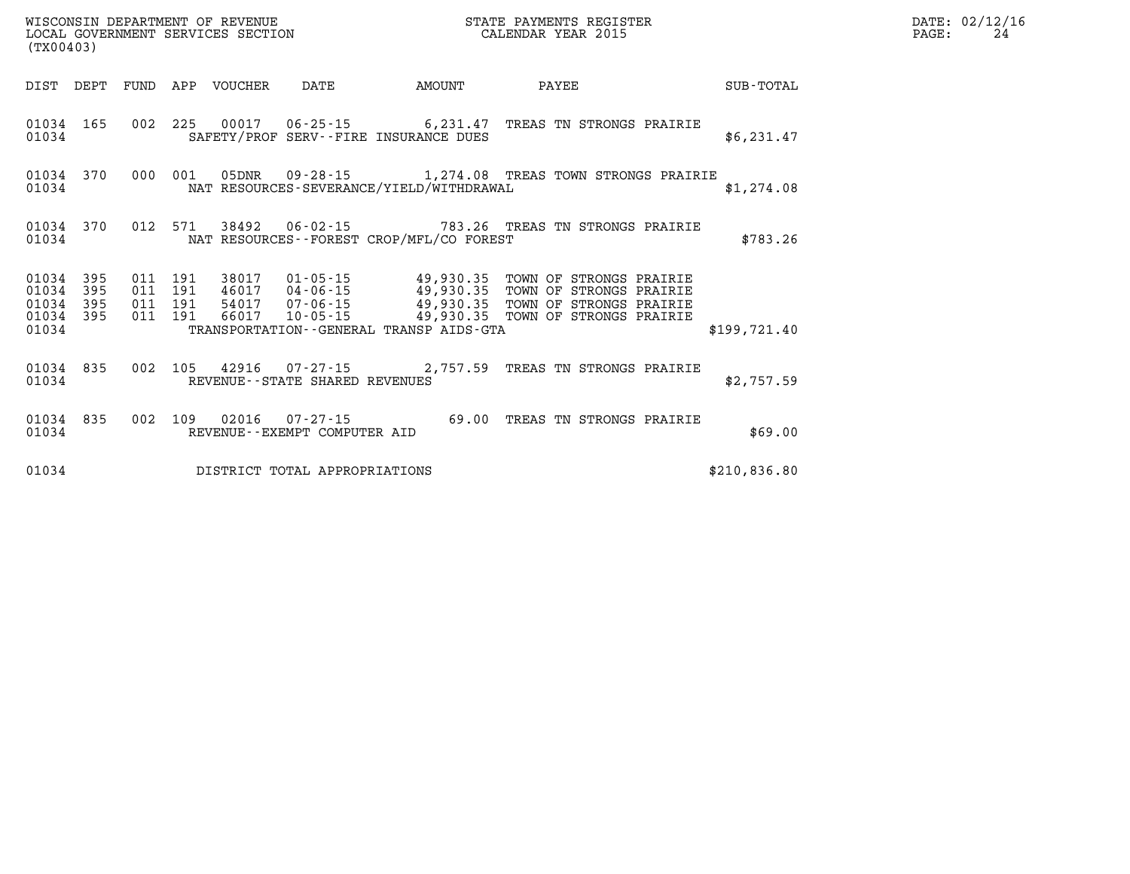| PAGE: | DATE: 02/12/16<br>24 |
|-------|----------------------|
|       |                      |

| (TX00403)                                 |                          |                          | WISCONSIN DEPARTMENT OF REVENUE<br>LOCAL GOVERNMENT SERVICES SECTION |                                  |                                   |                                                                                                                            | STATE PAYMENTS REGISTER<br>CALENDAR YEAR 2015                                                                                 |              |
|-------------------------------------------|--------------------------|--------------------------|----------------------------------------------------------------------|----------------------------------|-----------------------------------|----------------------------------------------------------------------------------------------------------------------------|-------------------------------------------------------------------------------------------------------------------------------|--------------|
| DIST                                      | DEPT                     | FUND                     | APP                                                                  | VOUCHER                          | DATE                              | AMOUNT                                                                                                                     | PAYEE                                                                                                                         | SUB-TOTAL    |
| 01034<br>01034                            | 165                      | 002                      | 225                                                                  |                                  |                                   | SAFETY/PROF SERV--FIRE INSURANCE DUES                                                                                      | 00017  06-25-15   6,231.47  TREAS TN STRONGS PRAIRIE                                                                          | \$6,231.47   |
| 01034<br>01034                            | 370                      | 000                      | 001                                                                  |                                  |                                   | NAT RESOURCES-SEVERANCE/YIELD/WITHDRAWAL                                                                                   | 05DNR  09-28-15  1,274.08 TREAS TOWN STRONGS PRAIRIE                                                                          | \$1,274.08   |
| 01034<br>01034                            | 370                      | 012                      | 571                                                                  |                                  |                                   | NAT RESOURCES - - FOREST CROP/MFL/CO FOREST                                                                                | 38492   06-02-15   783.26   TREAS TN STRONGS PRAIRIE                                                                          | \$783.26     |
| 01034<br>01034<br>01034<br>01034<br>01034 | 395<br>395<br>395<br>395 | 011<br>011<br>011<br>011 | 191<br>191<br>191<br>191                                             | 38017<br>46017<br>54017<br>66017 |                                   | $04 - 06 - 15$<br>04 - 06 - 15<br>07 - 06 - 15<br>10 - 05 - 15<br>49 , 930 . 35<br>TRANSPORTATION--GENERAL TRANSP AIDS-GTA | 01-05-15   49,930.35 TOWN OF STRONGS PRAIRIE<br>TOWN OF STRONGS PRAIRIE<br>TOWN OF STRONGS PRAIRIE<br>TOWN OF STRONGS PRAIRIE | \$199,721.40 |
| 01034<br>01034                            | 835                      | 002                      | 105                                                                  |                                  | REVENUE - - STATE SHARED REVENUES |                                                                                                                            | 42916 07-27-15 2,757.59 TREAS TN STRONGS PRAIRIE                                                                              | \$2,757.59   |
| 01034<br>01034                            | 835                      | 002                      | 109                                                                  |                                  | REVENUE--EXEMPT COMPUTER AID      | 02016  07-27-15  69.00                                                                                                     | TREAS TN STRONGS PRAIRIE                                                                                                      | \$69.00      |
| 01034                                     |                          |                          |                                                                      |                                  | DISTRICT TOTAL APPROPRIATIONS     |                                                                                                                            |                                                                                                                               | \$210,836.80 |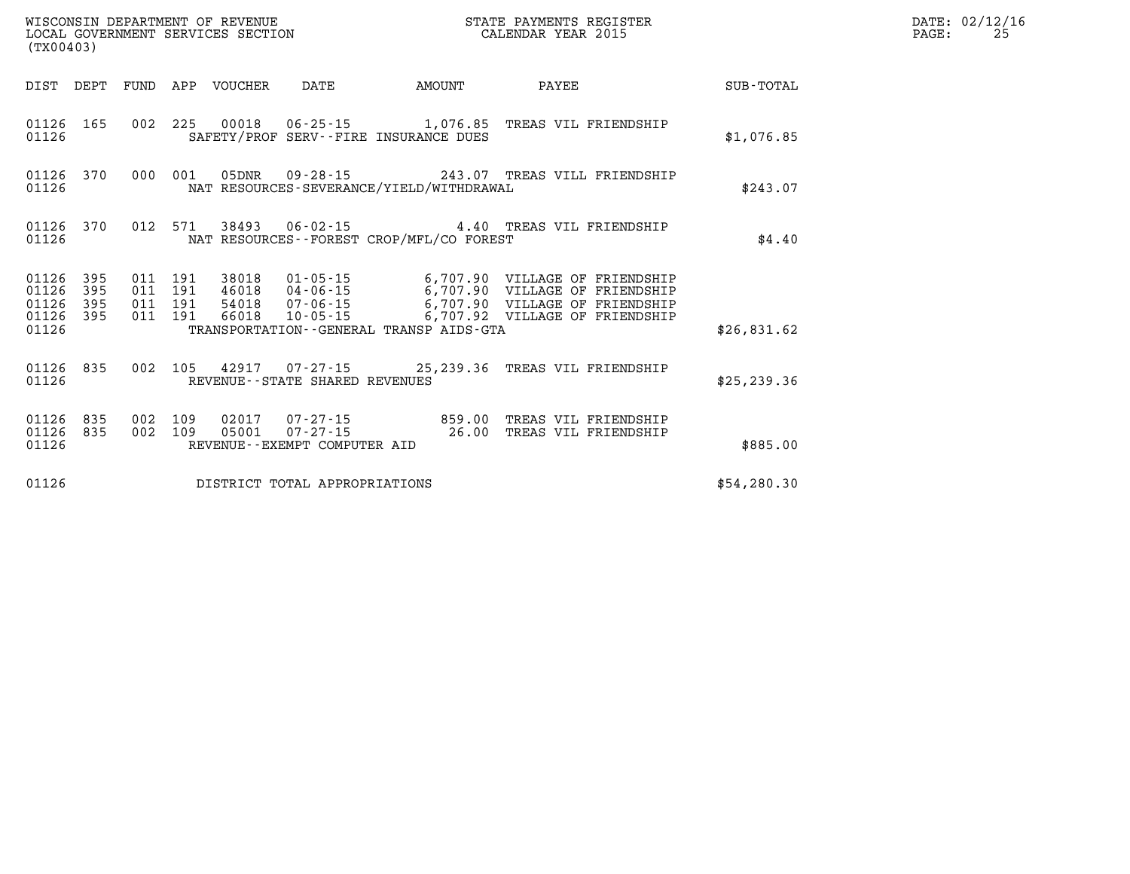| (TX00403)                            |                         |  |  |               |                                |                                          |                                                                                                                                                                                                                                  |              | $\mathtt{PAGE}$ : | DATE: 02/12/16<br>25 |
|--------------------------------------|-------------------------|--|--|---------------|--------------------------------|------------------------------------------|----------------------------------------------------------------------------------------------------------------------------------------------------------------------------------------------------------------------------------|--------------|-------------------|----------------------|
|                                      |                         |  |  |               |                                | DIST DEPT FUND APP VOUCHER DATE AMOUNT   | PAYEE SUB-TOTAL                                                                                                                                                                                                                  |              |                   |                      |
| 01126                                |                         |  |  |               |                                | SAFETY/PROF SERV--FIRE INSURANCE DUES    | 01126 165 002 225 00018 06-25-15 1,076.85 TREAS VIL FRIENDSHIP                                                                                                                                                                   | \$1,076.85   |                   |                      |
| 01126                                |                         |  |  |               |                                | NAT RESOURCES-SEVERANCE/YIELD/WITHDRAWAL | 01126 370 000 001 05DNR 09-28-15 243.07 TREAS VILL FRIENDSHIP                                                                                                                                                                    | \$243.07     |                   |                      |
| 01126                                |                         |  |  |               |                                | NAT RESOURCES--FOREST CROP/MFL/CO FOREST | 01126 370 012 571 38493 06-02-15 4.40 TREAS VIL FRIENDSHIP                                                                                                                                                                       | \$4.40       |                   |                      |
| 01126<br>01126<br>01126 395<br>01126 | 01126 395<br>395<br>395 |  |  |               |                                | TRANSPORTATION--GENERAL TRANSP AIDS-GTA  | 011 191 38018 01-05-15 6,707.90 VILLAGE OF FRIENDSHIP<br>011 191 46018 04-06-15 6,707.90 VILLAGE OF FRIENDSHIP<br>011 191 66018 10-05-15 6,707.90 VILLAGE OF FRIENDSHIP<br>011 191 66018 10-05-15 6,707.92 VILLAGE OF FRIENDSHIP | \$26,831.62  |                   |                      |
|                                      |                         |  |  |               |                                |                                          |                                                                                                                                                                                                                                  |              |                   |                      |
| 01126                                | 01126 835               |  |  |               | REVENUE--STATE SHARED REVENUES |                                          | 002 105 42917 07-27-15 25,239.36 TREAS VIL FRIENDSHIP                                                                                                                                                                            | \$25, 239.36 |                   |                      |
| 01126 835<br>01126 835<br>01126      |                         |  |  | 002 109 02017 | REVENUE--EXEMPT COMPUTER AID   |                                          | 002 109 02017 07-27-15 859.00 TREAS VIL FRIENDSHIP<br>002 109 05001 07-27-15 26.00 TREAS VIL FRIENDSHIP                                                                                                                          | \$885.00     |                   |                      |
| 01126                                |                         |  |  |               | DISTRICT TOTAL APPROPRIATIONS  |                                          |                                                                                                                                                                                                                                  | \$54,280.30  |                   |                      |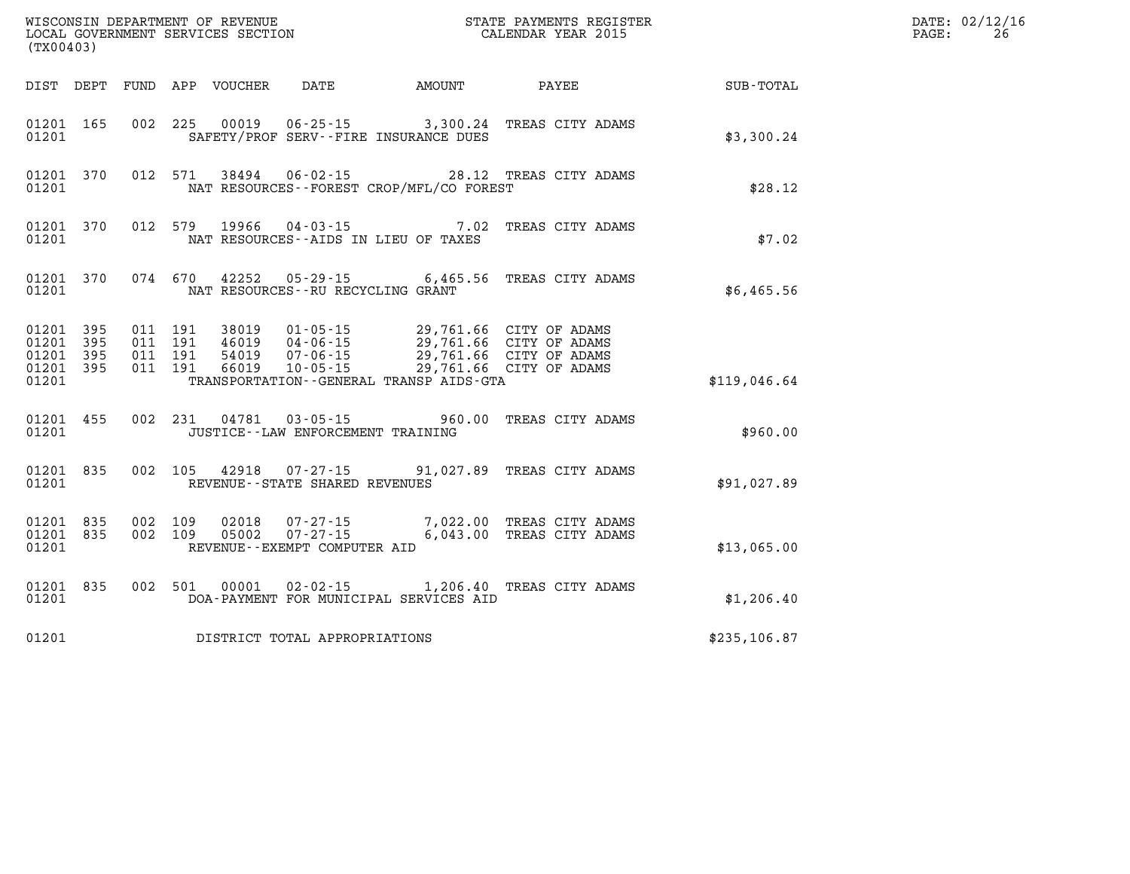| WISCONSIN DEPARTMENT OF REVENUE<br>LOCAL GOVERNMENT SERVICES SECTION THE STATE PAYMENTS REGIST<br>(TYOO402)<br>(TX00403) |                                                  |                    |         |                |                                                                                                                                                                                                                                                                                                                                                                                       | STATE PAYMENTS REGISTER                                                  |              | DATE: 02/12/16<br>PAGE:<br>26 |
|--------------------------------------------------------------------------------------------------------------------------|--------------------------------------------------|--------------------|---------|----------------|---------------------------------------------------------------------------------------------------------------------------------------------------------------------------------------------------------------------------------------------------------------------------------------------------------------------------------------------------------------------------------------|--------------------------------------------------------------------------|--------------|-------------------------------|
|                                                                                                                          |                                                  |                    |         |                |                                                                                                                                                                                                                                                                                                                                                                                       | DIST DEPT FUND APP VOUCHER DATE AMOUNT PAYEE                             | SUB-TOTAL    |                               |
| 01201                                                                                                                    | 01201 165                                        |                    |         |                | SAFETY/PROF SERV--FIRE INSURANCE DUES                                                                                                                                                                                                                                                                                                                                                 | 002 225 00019 06-25-15 3,300.24 TREAS CITY ADAMS                         | \$3,300.24   |                               |
| 01201                                                                                                                    | 01201 370                                        |                    |         |                | NAT RESOURCES - - FOREST CROP/MFL/CO FOREST                                                                                                                                                                                                                                                                                                                                           | 012 571 38494 06-02-15 28.12 TREAS CITY ADAMS                            | \$28.12      |                               |
| 01201                                                                                                                    | 01201 370                                        |                    | 012 579 |                | NAT RESOURCES--AIDS IN LIEU OF TAXES                                                                                                                                                                                                                                                                                                                                                  | 19966  04-03-15  7.02  TREAS CITY ADAMS                                  | \$7.02       |                               |
| 01201                                                                                                                    |                                                  |                    |         |                | NAT RESOURCES--RU RECYCLING GRANT                                                                                                                                                                                                                                                                                                                                                     | 01201 370 074 670 42252 05-29-15 6,465.56 TREAS CITY ADAMS               | \$6,465.56   |                               |
| 01201                                                                                                                    | 01201 395<br>01201 395<br>01201 395<br>01201 395 |                    |         |                | $\begin{array}{cccc} 011 & 191 & 38019 & 01\cdot 05\cdot 15 & 29\, 761.66 & \text{CITY OF ADAMS} \\ 011 & 191 & 46019 & 04\cdot 06\cdot 15 & 29\, 761.66 & \text{CITY OF ADAMS} \\ 011 & 191 & 54019 & 07\cdot 06\cdot 15 & 29\, 761.66 & \text{CITY OF ADAMS} \\ 011 & 191 & 66019 & 10\cdot 05\cdot 15 & 29\, 761.66 & \text{CITY OF AD$<br>TRANSPORTATION--GENERAL TRANSP AIDS-GTA |                                                                          | \$119,046.64 |                               |
| 01201                                                                                                                    | 01201 455                                        |                    |         | 002 231 04781  | JUSTICE -- LAW ENFORCEMENT TRAINING                                                                                                                                                                                                                                                                                                                                                   | 03-05-15 960.00 TREAS CITY ADAMS                                         | \$960.00     |                               |
| 01201                                                                                                                    | 01201 835                                        |                    |         |                | REVENUE--STATE SHARED REVENUES                                                                                                                                                                                                                                                                                                                                                        | 002 105 42918 07-27-15 91,027.89 TREAS CITY ADAMS                        | \$91,027.89  |                               |
| 01201                                                                                                                    | 01201 835<br>01201 835                           | 002 109<br>002 109 |         | 02018<br>05002 | REVENUE--EXEMPT COMPUTER AID                                                                                                                                                                                                                                                                                                                                                          | 07-27-15 7,022.00 TREAS CITY ADAMS<br>07-27-15 6,043.00 TREAS CITY ADAMS | \$13,065.00  |                               |
| 01201                                                                                                                    | 01201 835                                        |                    |         |                | DOA-PAYMENT FOR MUNICIPAL SERVICES AID                                                                                                                                                                                                                                                                                                                                                | 002 501 00001 02-02-15 1,206.40 TREAS CITY ADAMS                         | \$1,206.40   |                               |
| 01201                                                                                                                    |                                                  |                    |         |                | DISTRICT TOTAL APPROPRIATIONS                                                                                                                                                                                                                                                                                                                                                         |                                                                          | \$235,106.87 |                               |